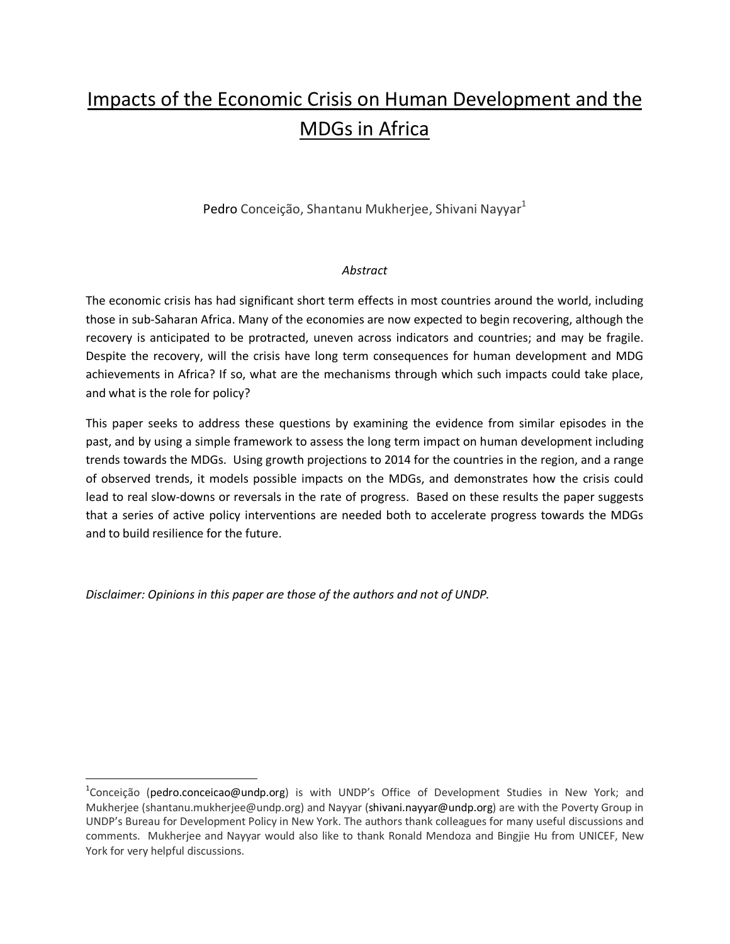# Impacts of the Economic Crisis on Human Development and the MDGs in Africa

Pedro Conceição, Shantanu Mukherjee, Shivani Nayyar<sup>1</sup>

# *Abstract*

The economic crisis has had significant short term effects in most countries around the world, including those in sub-Saharan Africa. Many of the economies are now expected to begin recovering, although the recovery is anticipated to be protracted, uneven across indicators and countries; and may be fragile. Despite the recovery, will the crisis have long term consequences for human development and MDG achievements in Africa? If so, what are the mechanisms through which such impacts could take place, and what is the role for policy?

This paper seeks to address these questions by examining the evidence from similar episodes in the past, and by using a simple framework to assess the long term impact on human development including trends towards the MDGs. Using growth projections to 2014 for the countries in the region, and a range of observed trends, it models possible impacts on the MDGs, and demonstrates how the crisis could lead to real slow-downs or reversals in the rate of progress. Based on these results the paper suggests that a series of active policy interventions are needed both to accelerate progress towards the MDGs and to build resilience for the future.

*Disclaimer: Opinions in this paper are those of the authors and not of UNDP.* 

 $\overline{a}$ 

<sup>&</sup>lt;sup>1</sup>Conceição (pedro.conceicao@undp.org) is with UNDP's Office of Development Studies in New York; and Mukherjee (shantanu.mukherjee@undp.org) and Nayyar (shivani.nayyar@undp.org) are with the Poverty Group in UNDP's Bureau for Development Policy in New York. The authors thank colleagues for many useful discussions and comments. Mukherjee and Nayyar would also like to thank Ronald Mendoza and Bingjie Hu from UNICEF, New York for very helpful discussions.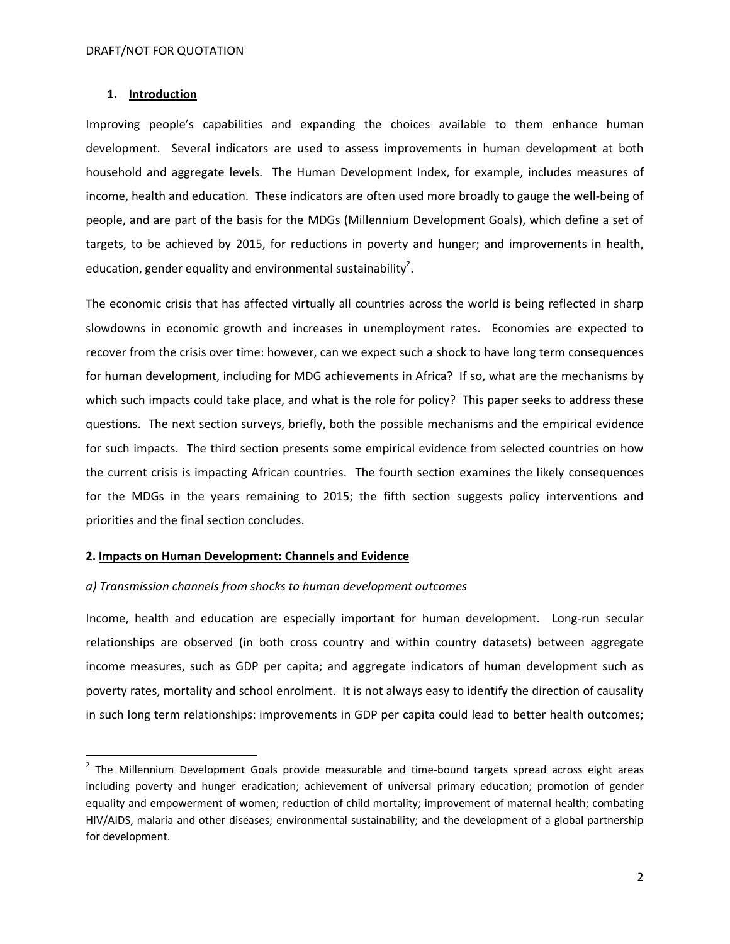#### **1. Introduction**

 $\overline{a}$ 

Improving people's capabilities and expanding the choices available to them enhance human development. Several indicators are used to assess improvements in human development at both household and aggregate levels. The Human Development Index, for example, includes measures of income, health and education. These indicators are often used more broadly to gauge the well-being of people, and are part of the basis for the MDGs (Millennium Development Goals), which define a set of targets, to be achieved by 2015, for reductions in poverty and hunger; and improvements in health, education, gender equality and environmental sustainability<sup>2</sup>.

The economic crisis that has affected virtually all countries across the world is being reflected in sharp slowdowns in economic growth and increases in unemployment rates. Economies are expected to recover from the crisis over time: however, can we expect such a shock to have long term consequences for human development, including for MDG achievements in Africa? If so, what are the mechanisms by which such impacts could take place, and what is the role for policy? This paper seeks to address these questions. The next section surveys, briefly, both the possible mechanisms and the empirical evidence for such impacts. The third section presents some empirical evidence from selected countries on how the current crisis is impacting African countries. The fourth section examines the likely consequences for the MDGs in the years remaining to 2015; the fifth section suggests policy interventions and priorities and the final section concludes.

#### **2. Impacts on Human Development: Channels and Evidence**

#### *a) Transmission channels from shocks to human development outcomes*

Income, health and education are especially important for human development. Long-run secular relationships are observed (in both cross country and within country datasets) between aggregate income measures, such as GDP per capita; and aggregate indicators of human development such as poverty rates, mortality and school enrolment. It is not always easy to identify the direction of causality in such long term relationships: improvements in GDP per capita could lead to better health outcomes;

<sup>&</sup>lt;sup>2</sup> The Millennium Development Goals provide measurable and time-bound targets spread across eight areas including poverty and hunger eradication; achievement of universal primary education; promotion of gender equality and empowerment of women; reduction of child mortality; improvement of maternal health; combating HIV/AIDS, malaria and other diseases; environmental sustainability; and the development of a global partnership for development.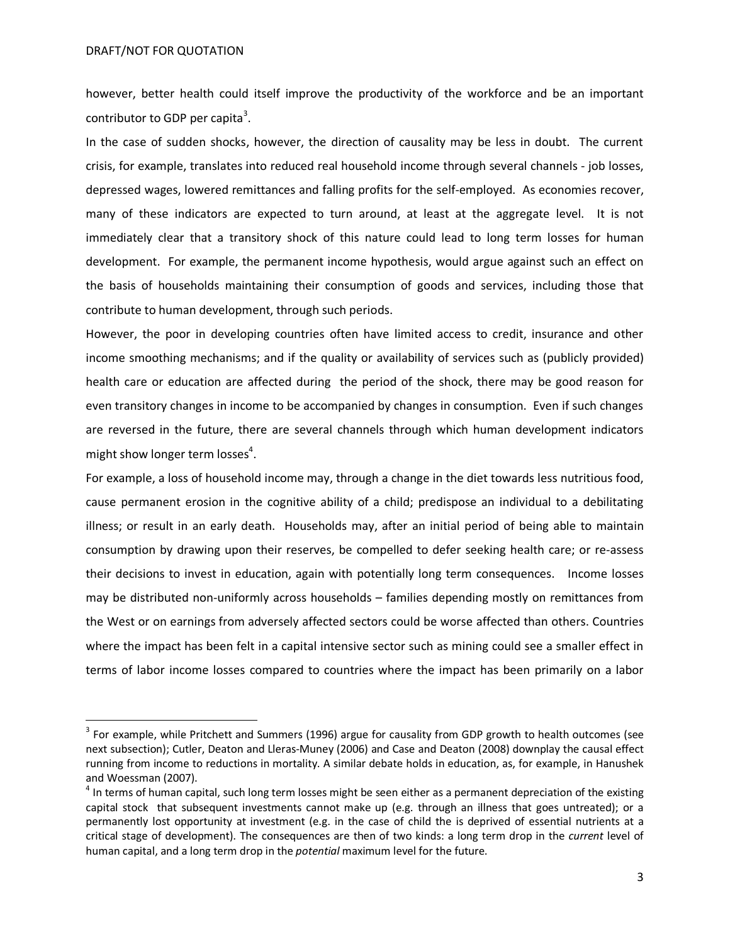l

however, better health could itself improve the productivity of the workforce and be an important contributor to GDP per capita<sup>3</sup>.

In the case of sudden shocks, however, the direction of causality may be less in doubt. The current crisis, for example, translates into reduced real household income through several channels - job losses, depressed wages, lowered remittances and falling profits for the self-employed. As economies recover, many of these indicators are expected to turn around, at least at the aggregate level. It is not immediately clear that a transitory shock of this nature could lead to long term losses for human development. For example, the permanent income hypothesis, would argue against such an effect on the basis of households maintaining their consumption of goods and services, including those that contribute to human development, through such periods.

However, the poor in developing countries often have limited access to credit, insurance and other income smoothing mechanisms; and if the quality or availability of services such as (publicly provided) health care or education are affected during the period of the shock, there may be good reason for even transitory changes in income to be accompanied by changes in consumption. Even if such changes are reversed in the future, there are several channels through which human development indicators might show longer term losses<sup>4</sup>.

For example, a loss of household income may, through a change in the diet towards less nutritious food, cause permanent erosion in the cognitive ability of a child; predispose an individual to a debilitating illness; or result in an early death. Households may, after an initial period of being able to maintain consumption by drawing upon their reserves, be compelled to defer seeking health care; or re-assess their decisions to invest in education, again with potentially long term consequences. Income losses may be distributed non-uniformly across households – families depending mostly on remittances from the West or on earnings from adversely affected sectors could be worse affected than others. Countries where the impact has been felt in a capital intensive sector such as mining could see a smaller effect in terms of labor income losses compared to countries where the impact has been primarily on a labor

 $3$  For example, while Pritchett and Summers (1996) argue for causality from GDP growth to health outcomes (see next subsection); Cutler, Deaton and Lleras-Muney (2006) and Case and Deaton (2008) downplay the causal effect running from income to reductions in mortality. A similar debate holds in education, as, for example, in Hanushek and Woessman (2007).

 $<sup>4</sup>$  In terms of human capital, such long term losses might be seen either as a permanent depreciation of the existing</sup> capital stock that subsequent investments cannot make up (e.g. through an illness that goes untreated); or a permanently lost opportunity at investment (e.g. in the case of child the is deprived of essential nutrients at a critical stage of development). The consequences are then of two kinds: a long term drop in the *current* level of human capital, and a long term drop in the *potential* maximum level for the future.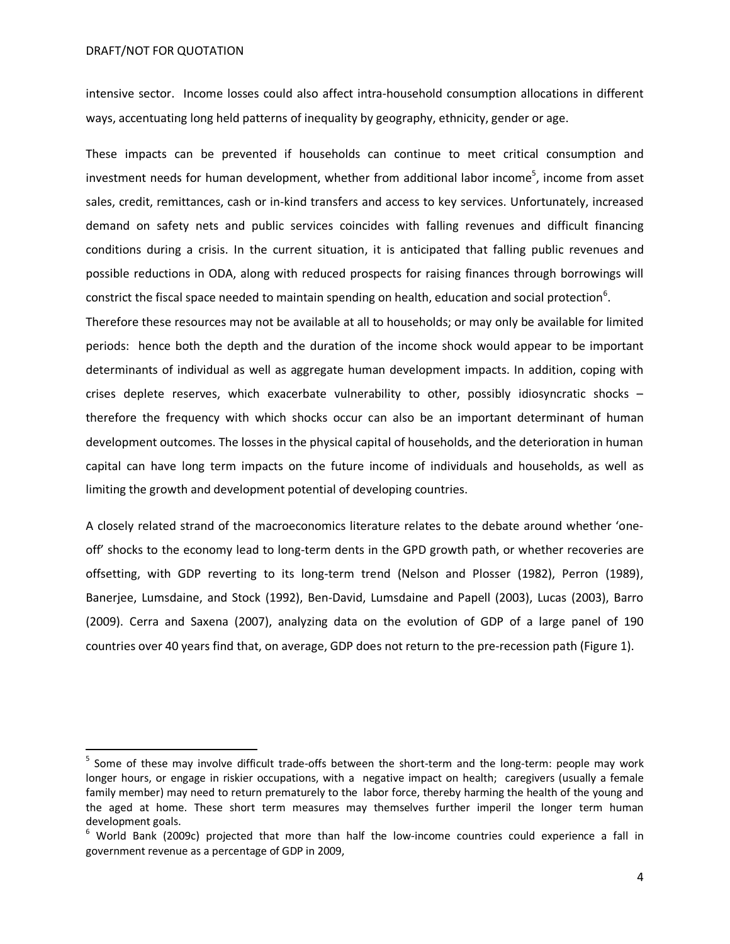$\overline{a}$ 

intensive sector. Income losses could also affect intra-household consumption allocations in different ways, accentuating long held patterns of inequality by geography, ethnicity, gender or age.

These impacts can be prevented if households can continue to meet critical consumption and investment needs for human development, whether from additional labor income<sup>5</sup>, income from asset sales, credit, remittances, cash or in-kind transfers and access to key services. Unfortunately, increased demand on safety nets and public services coincides with falling revenues and difficult financing conditions during a crisis. In the current situation, it is anticipated that falling public revenues and possible reductions in ODA, along with reduced prospects for raising finances through borrowings will constrict the fiscal space needed to maintain spending on health, education and social protection<sup>6</sup>.

Therefore these resources may not be available at all to households; or may only be available for limited periods: hence both the depth and the duration of the income shock would appear to be important determinants of individual as well as aggregate human development impacts. In addition, coping with crises deplete reserves, which exacerbate vulnerability to other, possibly idiosyncratic shocks – therefore the frequency with which shocks occur can also be an important determinant of human development outcomes. The losses in the physical capital of households, and the deterioration in human capital can have long term impacts on the future income of individuals and households, as well as limiting the growth and development potential of developing countries.

A closely related strand of the macroeconomics literature relates to the debate around whether 'oneoff' shocks to the economy lead to long-term dents in the GPD growth path, or whether recoveries are offsetting, with GDP reverting to its long-term trend (Nelson and Plosser (1982), Perron (1989), Banerjee, Lumsdaine, and Stock (1992), Ben-David, Lumsdaine and Papell (2003), Lucas (2003), Barro (2009). Cerra and Saxena (2007), analyzing data on the evolution of GDP of a large panel of 190 countries over 40 years find that, on average, GDP does not return to the pre-recession path (Figure 1).

<sup>&</sup>lt;sup>5</sup> Some of these may involve difficult trade-offs between the short-term and the long-term: people may work longer hours, or engage in riskier occupations, with a negative impact on health; caregivers (usually a female family member) may need to return prematurely to the labor force, thereby harming the health of the young and the aged at home. These short term measures may themselves further imperil the longer term human development goals.

<sup>&</sup>lt;sup>6</sup> World Bank (2009c) projected that more than half the low-income countries could experience a fall in government revenue as a percentage of GDP in 2009,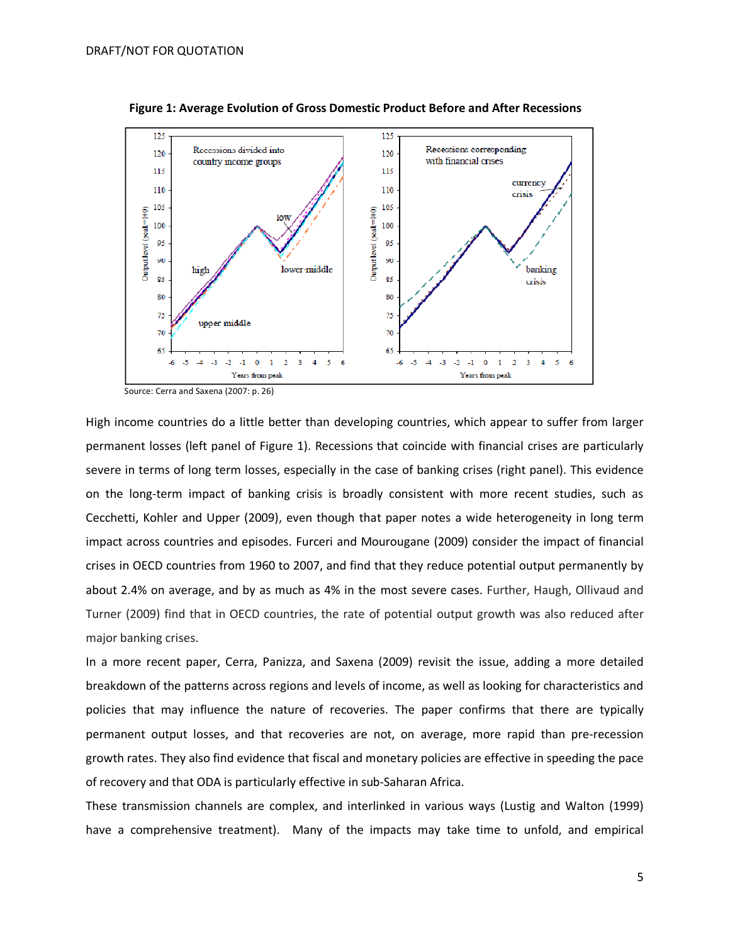

**Figure 1: Average Evolution of Gross Domestic Product Before and After Recessions**

Source: Cerra and Saxena (2007: p. 26)

High income countries do a little better than developing countries, which appear to suffer from larger permanent losses (left panel of Figure 1). Recessions that coincide with financial crises are particularly severe in terms of long term losses, especially in the case of banking crises (right panel). This evidence on the long-term impact of banking crisis is broadly consistent with more recent studies, such as Cecchetti, Kohler and Upper (2009), even though that paper notes a wide heterogeneity in long term impact across countries and episodes. Furceri and Mourougane (2009) consider the impact of financial crises in OECD countries from 1960 to 2007, and find that they reduce potential output permanently by about 2.4% on average, and by as much as 4% in the most severe cases. Further, Haugh, Ollivaud and Turner (2009) find that in OECD countries, the rate of potential output growth was also reduced after major banking crises.

In a more recent paper, Cerra, Panizza, and Saxena (2009) revisit the issue, adding a more detailed breakdown of the patterns across regions and levels of income, as well as looking for characteristics and policies that may influence the nature of recoveries. The paper confirms that there are typically permanent output losses, and that recoveries are not, on average, more rapid than pre-recession growth rates. They also find evidence that fiscal and monetary policies are effective in speeding the pace of recovery and that ODA is particularly effective in sub-Saharan Africa.

These transmission channels are complex, and interlinked in various ways (Lustig and Walton (1999) have a comprehensive treatment). Many of the impacts may take time to unfold, and empirical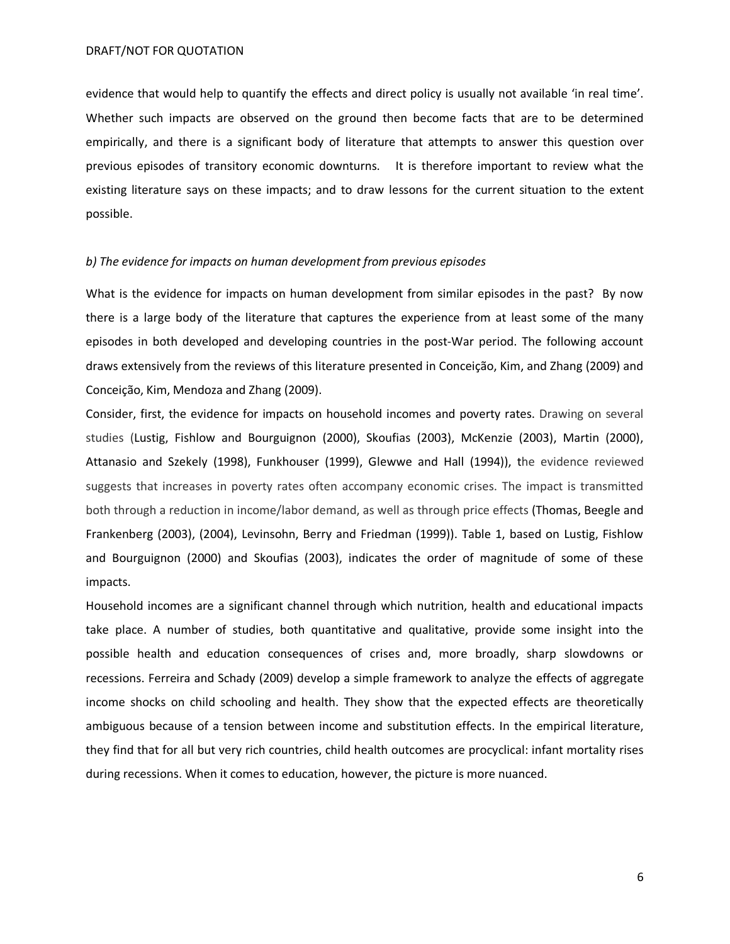evidence that would help to quantify the effects and direct policy is usually not available 'in real time'. Whether such impacts are observed on the ground then become facts that are to be determined empirically, and there is a significant body of literature that attempts to answer this question over previous episodes of transitory economic downturns. It is therefore important to review what the existing literature says on these impacts; and to draw lessons for the current situation to the extent possible.

#### *b) The evidence for impacts on human development from previous episodes*

What is the evidence for impacts on human development from similar episodes in the past? By now there is a large body of the literature that captures the experience from at least some of the many episodes in both developed and developing countries in the post-War period. The following account draws extensively from the reviews of this literature presented in Conceição, Kim, and Zhang (2009) and Conceição, Kim, Mendoza and Zhang (2009).

Consider, first, the evidence for impacts on household incomes and poverty rates. Drawing on several studies (Lustig, Fishlow and Bourguignon (2000), Skoufias (2003), McKenzie (2003), Martin (2000), Attanasio and Szekely (1998), Funkhouser (1999), Glewwe and Hall (1994)), the evidence reviewed suggests that increases in poverty rates often accompany economic crises. The impact is transmitted both through a reduction in income/labor demand, as well as through price effects (Thomas, Beegle and Frankenberg (2003), (2004), Levinsohn, Berry and Friedman (1999)). Table 1, based on Lustig, Fishlow and Bourguignon (2000) and Skoufias (2003), indicates the order of magnitude of some of these impacts.

Household incomes are a significant channel through which nutrition, health and educational impacts take place. A number of studies, both quantitative and qualitative, provide some insight into the possible health and education consequences of crises and, more broadly, sharp slowdowns or recessions. Ferreira and Schady (2009) develop a simple framework to analyze the effects of aggregate income shocks on child schooling and health. They show that the expected effects are theoretically ambiguous because of a tension between income and substitution effects. In the empirical literature, they find that for all but very rich countries, child health outcomes are procyclical: infant mortality rises during recessions. When it comes to education, however, the picture is more nuanced.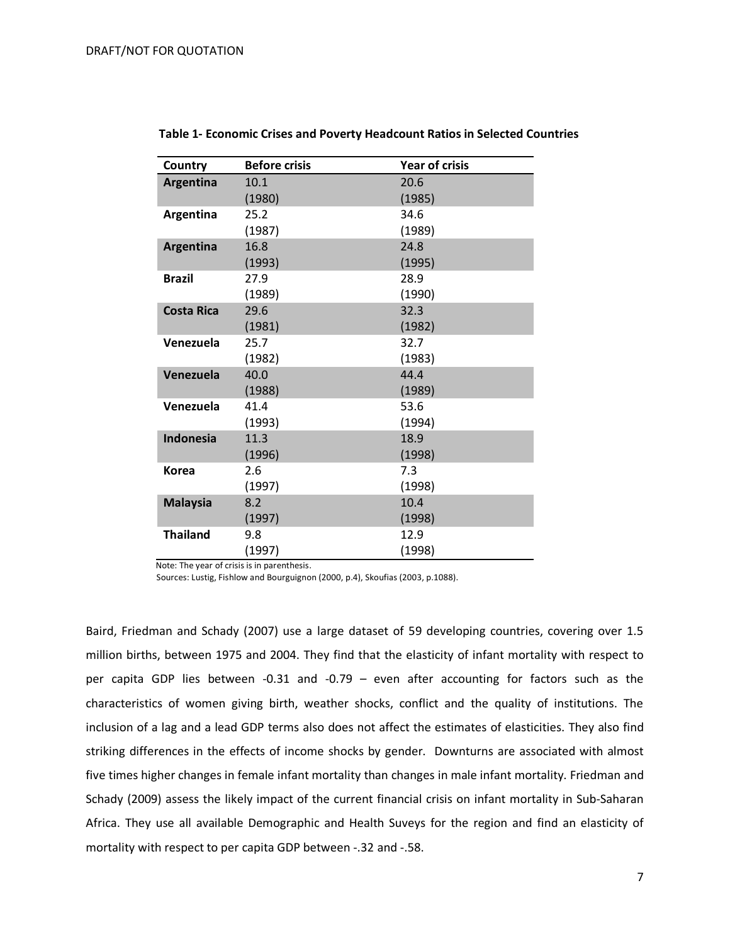| Country           | <b>Before crisis</b> | <b>Year of crisis</b> |
|-------------------|----------------------|-----------------------|
| Argentina         | 10.1                 | 20.6                  |
|                   | (1980)               | (1985)                |
| Argentina         | 25.2                 | 34.6                  |
|                   | (1987)               | (1989)                |
| Argentina         | 16.8                 | 24.8                  |
|                   | (1993)               | (1995)                |
| <b>Brazil</b>     | 27.9                 | 28.9                  |
|                   | (1989)               | (1990)                |
| <b>Costa Rica</b> | 29.6                 | 32.3                  |
|                   | (1981)               | (1982)                |
| Venezuela         | 25.7                 | 32.7                  |
|                   | (1982)               | (1983)                |
| Venezuela         | 40.0                 | 44.4                  |
|                   | (1988)               | (1989)                |
| Venezuela         | 41.4                 | 53.6                  |
|                   | (1993)               | (1994)                |
| Indonesia         | 11.3                 | 18.9                  |
|                   | (1996)               | (1998)                |
| Korea             | 2.6                  | 7.3                   |
|                   | (1997)               | (1998)                |
| <b>Malaysia</b>   | 8.2                  | 10.4                  |
|                   | (1997)               | (1998)                |
| <b>Thailand</b>   | 9.8                  | 12.9                  |
|                   | (1997)               | (1998)                |

 **Table 1- Economic Crises and Poverty Headcount Ratios in Selected Countries** 

Note: The year of crisis is in parenthesis.

Sources: Lustig, Fishlow and Bourguignon (2000, p.4), Skoufias (2003, p.1088).

Baird, Friedman and Schady (2007) use a large dataset of 59 developing countries, covering over 1.5 million births, between 1975 and 2004. They find that the elasticity of infant mortality with respect to per capita GDP lies between -0.31 and -0.79 – even after accounting for factors such as the characteristics of women giving birth, weather shocks, conflict and the quality of institutions. The inclusion of a lag and a lead GDP terms also does not affect the estimates of elasticities. They also find striking differences in the effects of income shocks by gender. Downturns are associated with almost five times higher changes in female infant mortality than changes in male infant mortality. Friedman and Schady (2009) assess the likely impact of the current financial crisis on infant mortality in Sub-Saharan Africa. They use all available Demographic and Health Suveys for the region and find an elasticity of mortality with respect to per capita GDP between -.32 and -.58.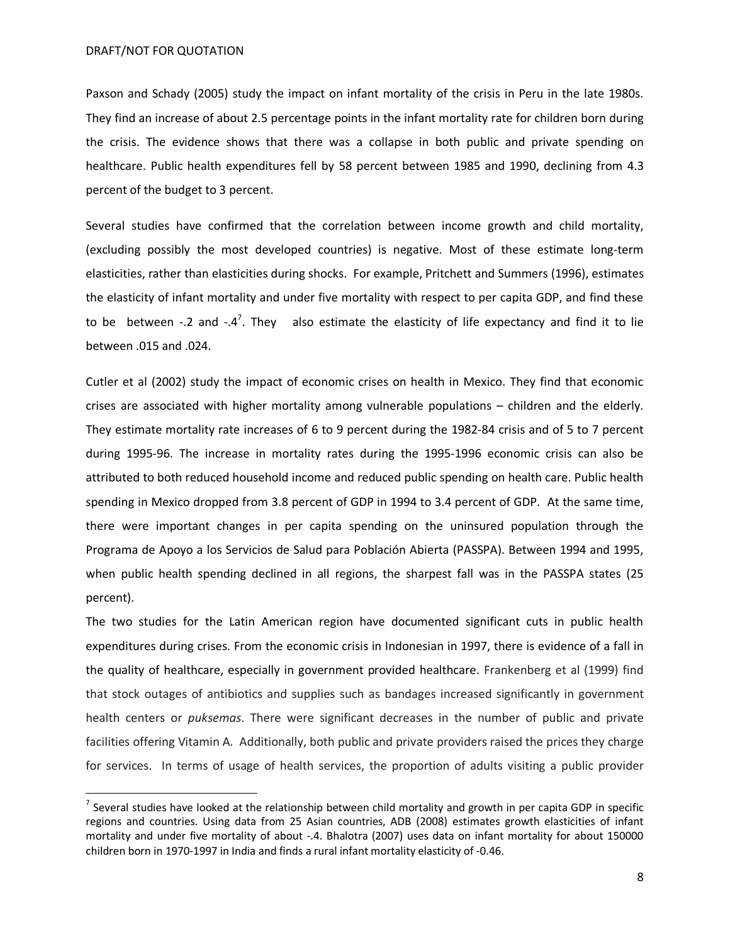$\overline{a}$ 

Paxson and Schady (2005) study the impact on infant mortality of the crisis in Peru in the late 1980s. They find an increase of about 2.5 percentage points in the infant mortality rate for children born during the crisis. The evidence shows that there was a collapse in both public and private spending on healthcare. Public health expenditures fell by 58 percent between 1985 and 1990, declining from 4.3 percent of the budget to 3 percent.

Several studies have confirmed that the correlation between income growth and child mortality, (excluding possibly the most developed countries) is negative. Most of these estimate long-term elasticities, rather than elasticities during shocks. For example, Pritchett and Summers (1996), estimates the elasticity of infant mortality and under five mortality with respect to per capita GDP, and find these to be between -.2 and -.4<sup>7</sup>. They also estimate the elasticity of life expectancy and find it to lie between .015 and .024.

Cutler et al (2002) study the impact of economic crises on health in Mexico. They find that economic crises are associated with higher mortality among vulnerable populations – children and the elderly. They estimate mortality rate increases of 6 to 9 percent during the 1982-84 crisis and of 5 to 7 percent during 1995-96. The increase in mortality rates during the 1995-1996 economic crisis can also be attributed to both reduced household income and reduced public spending on health care. Public health spending in Mexico dropped from 3.8 percent of GDP in 1994 to 3.4 percent of GDP. At the same time, there were important changes in per capita spending on the uninsured population through the Programa de Apoyo a los Servicios de Salud para Población Abierta (PASSPA). Between 1994 and 1995, when public health spending declined in all regions, the sharpest fall was in the PASSPA states (25 percent).

The two studies for the Latin American region have documented significant cuts in public health expenditures during crises. From the economic crisis in Indonesian in 1997, there is evidence of a fall in the quality of healthcare, especially in government provided healthcare. Frankenberg et al (1999) find that stock outages of antibiotics and supplies such as bandages increased significantly in government health centers or *puksemas*. There were significant decreases in the number of public and private facilities offering Vitamin A. Additionally, both public and private providers raised the prices they charge for services. In terms of usage of health services, the proportion of adults visiting a public provider

<sup>&</sup>lt;sup>7</sup> Several studies have looked at the relationship between child mortality and growth in per capita GDP in specific regions and countries. Using data from 25 Asian countries, ADB (2008) estimates growth elasticities of infant mortality and under five mortality of about -.4. Bhalotra (2007) uses data on infant mortality for about 150000 children born in 1970-1997 in India and finds a rural infant mortality elasticity of -0.46.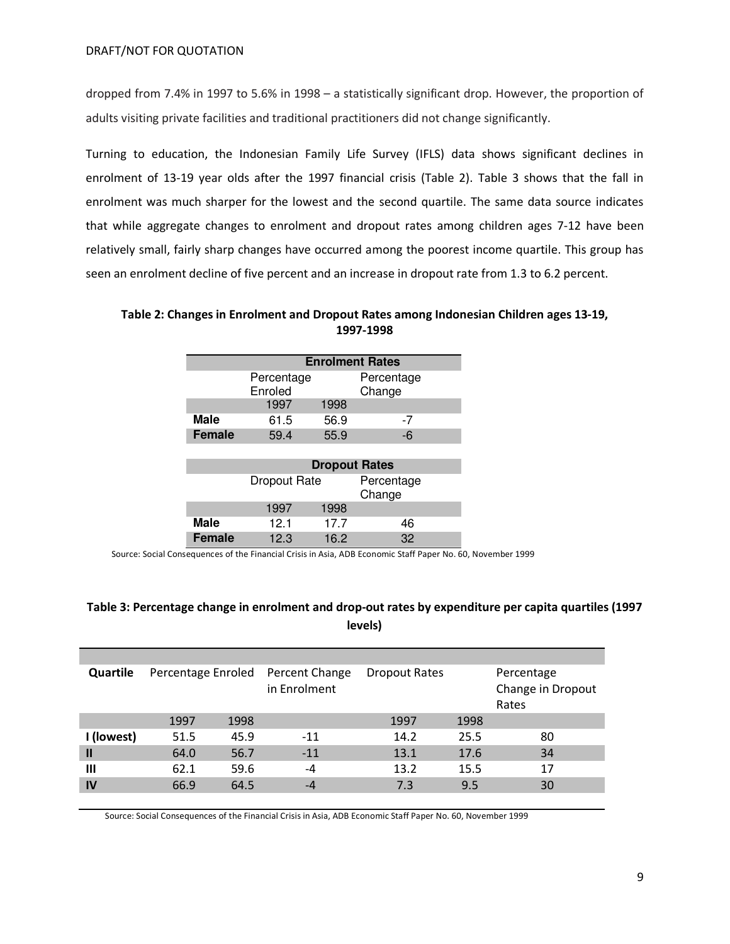dropped from 7.4% in 1997 to 5.6% in 1998 – a statistically significant drop. However, the proportion of adults visiting private facilities and traditional practitioners did not change significantly.

Turning to education, the Indonesian Family Life Survey (IFLS) data shows significant declines in enrolment of 13-19 year olds after the 1997 financial crisis (Table 2). Table 3 shows that the fall in enrolment was much sharper for the lowest and the second quartile. The same data source indicates that while aggregate changes to enrolment and dropout rates among children ages 7-12 have been relatively small, fairly sharp changes have occurred among the poorest income quartile. This group has seen an enrolment decline of five percent and an increase in dropout rate from 1.3 to 6.2 percent.

# **Table 2: Changes in Enrolment and Dropout Rates among Indonesian Children ages 13-19, 1997-1998**

|               | <b>Enrolment Rates</b> |      |                      |  |  |
|---------------|------------------------|------|----------------------|--|--|
|               | Percentage<br>Enroled  |      | Percentage<br>Change |  |  |
|               | 1997                   | 1998 |                      |  |  |
| Male          | 61.5                   | 56.9 | -7                   |  |  |
| <b>Female</b> | 59.4                   | 55.9 | -6                   |  |  |
|               |                        |      |                      |  |  |

|               | <b>Dropout Rates</b> |      |                      |  |  |
|---------------|----------------------|------|----------------------|--|--|
|               | <b>Dropout Rate</b>  |      | Percentage<br>Change |  |  |
|               | 1997                 | 1998 |                      |  |  |
| Male          | 12.1                 | 17.7 | 46                   |  |  |
| <b>Female</b> | 12.3                 | 16.2 | 32                   |  |  |

Source: Social Consequences of the Financial Crisis in Asia, ADB Economic Staff Paper No. 60, November 1999

# **Table 3: Percentage change in enrolment and drop-out rates by expenditure per capita quartiles (1997 levels)**

| Quartile      | Percentage Enroled |      | Percent Change<br>in Enrolment | <b>Dropout Rates</b> |      | Percentage<br>Change in Dropout<br>Rates |
|---------------|--------------------|------|--------------------------------|----------------------|------|------------------------------------------|
|               | 1997               | 1998 |                                | 1997                 | 1998 |                                          |
| I (lowest)    | 51.5               | 45.9 | $-11$                          | 14.2                 | 25.5 | 80                                       |
| $\mathbf{I}$  | 64.0               | 56.7 | $-11$                          | 13.1                 | 17.6 | 34                                       |
| Ш             | 62.1               | 59.6 | -4                             | 13.2                 | 15.5 | 17                                       |
| $\mathsf{IV}$ | 66.9               | 64.5 | -4                             | 7.3                  | 9.5  | 30                                       |
|               |                    |      |                                |                      |      |                                          |

Source: Social Consequences of the Financial Crisis in Asia, ADB Economic Staff Paper No. 60, November 1999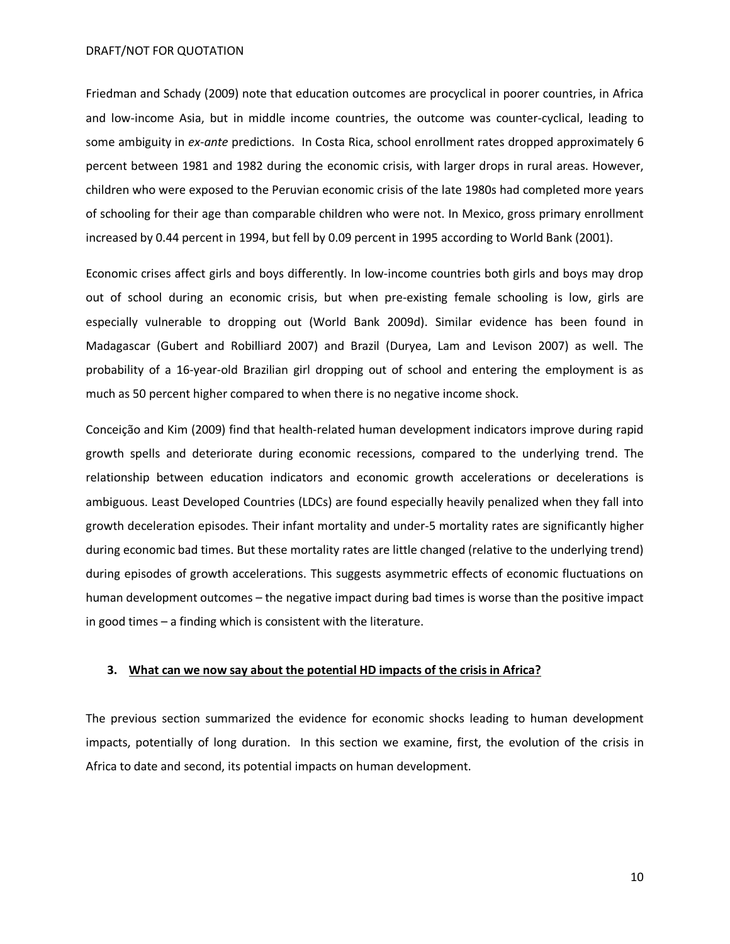Friedman and Schady (2009) note that education outcomes are procyclical in poorer countries, in Africa and low-income Asia, but in middle income countries, the outcome was counter-cyclical, leading to some ambiguity in *ex-ante* predictions. In Costa Rica, school enrollment rates dropped approximately 6 percent between 1981 and 1982 during the economic crisis, with larger drops in rural areas. However, children who were exposed to the Peruvian economic crisis of the late 1980s had completed more years of schooling for their age than comparable children who were not. In Mexico, gross primary enrollment increased by 0.44 percent in 1994, but fell by 0.09 percent in 1995 according to World Bank (2001).

Economic crises affect girls and boys differently. In low-income countries both girls and boys may drop out of school during an economic crisis, but when pre-existing female schooling is low, girls are especially vulnerable to dropping out (World Bank 2009d). Similar evidence has been found in Madagascar (Gubert and Robilliard 2007) and Brazil (Duryea, Lam and Levison 2007) as well. The probability of a 16-year-old Brazilian girl dropping out of school and entering the employment is as much as 50 percent higher compared to when there is no negative income shock.

Conceição and Kim (2009) find that health-related human development indicators improve during rapid growth spells and deteriorate during economic recessions, compared to the underlying trend. The relationship between education indicators and economic growth accelerations or decelerations is ambiguous. Least Developed Countries (LDCs) are found especially heavily penalized when they fall into growth deceleration episodes. Their infant mortality and under-5 mortality rates are significantly higher during economic bad times. But these mortality rates are little changed (relative to the underlying trend) during episodes of growth accelerations. This suggests asymmetric effects of economic fluctuations on human development outcomes – the negative impact during bad times is worse than the positive impact in good times – a finding which is consistent with the literature.

#### **3. What can we now say about the potential HD impacts of the crisis in Africa?**

The previous section summarized the evidence for economic shocks leading to human development impacts, potentially of long duration. In this section we examine, first, the evolution of the crisis in Africa to date and second, its potential impacts on human development.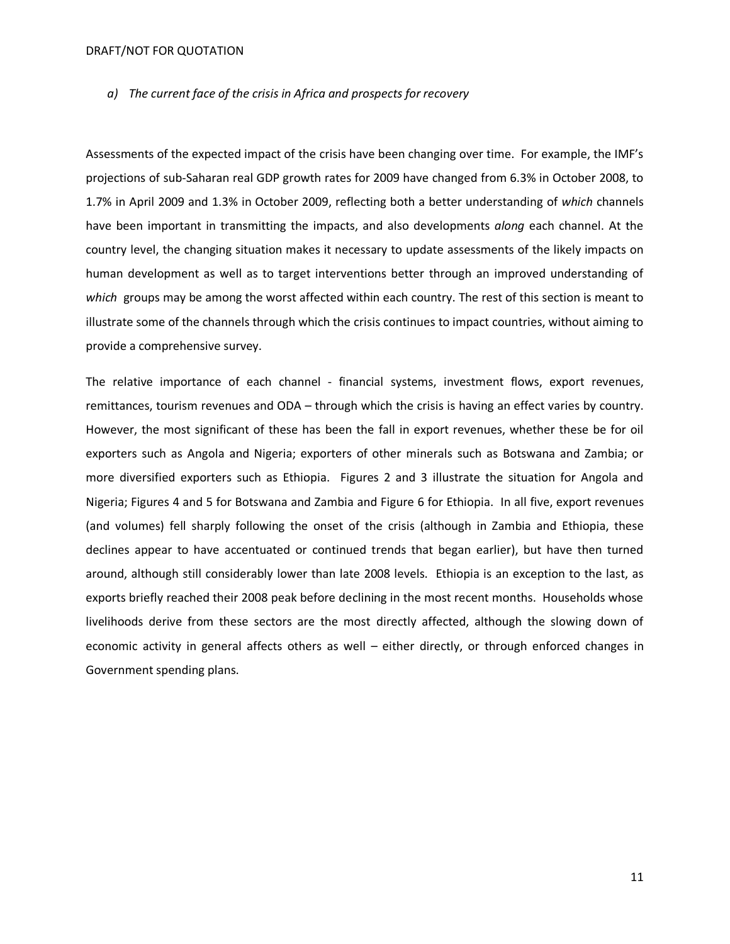#### *a) The current face of the crisis in Africa and prospects for recovery*

Assessments of the expected impact of the crisis have been changing over time. For example, the IMF's projections of sub-Saharan real GDP growth rates for 2009 have changed from 6.3% in October 2008, to 1.7% in April 2009 and 1.3% in October 2009, reflecting both a better understanding of *which* channels have been important in transmitting the impacts, and also developments *along* each channel. At the country level, the changing situation makes it necessary to update assessments of the likely impacts on human development as well as to target interventions better through an improved understanding of *which* groups may be among the worst affected within each country. The rest of this section is meant to illustrate some of the channels through which the crisis continues to impact countries, without aiming to provide a comprehensive survey.

The relative importance of each channel - financial systems, investment flows, export revenues, remittances, tourism revenues and ODA – through which the crisis is having an effect varies by country. However, the most significant of these has been the fall in export revenues, whether these be for oil exporters such as Angola and Nigeria; exporters of other minerals such as Botswana and Zambia; or more diversified exporters such as Ethiopia. Figures 2 and 3 illustrate the situation for Angola and Nigeria; Figures 4 and 5 for Botswana and Zambia and Figure 6 for Ethiopia. In all five, export revenues (and volumes) fell sharply following the onset of the crisis (although in Zambia and Ethiopia, these declines appear to have accentuated or continued trends that began earlier), but have then turned around, although still considerably lower than late 2008 levels. Ethiopia is an exception to the last, as exports briefly reached their 2008 peak before declining in the most recent months. Households whose livelihoods derive from these sectors are the most directly affected, although the slowing down of economic activity in general affects others as well – either directly, or through enforced changes in Government spending plans.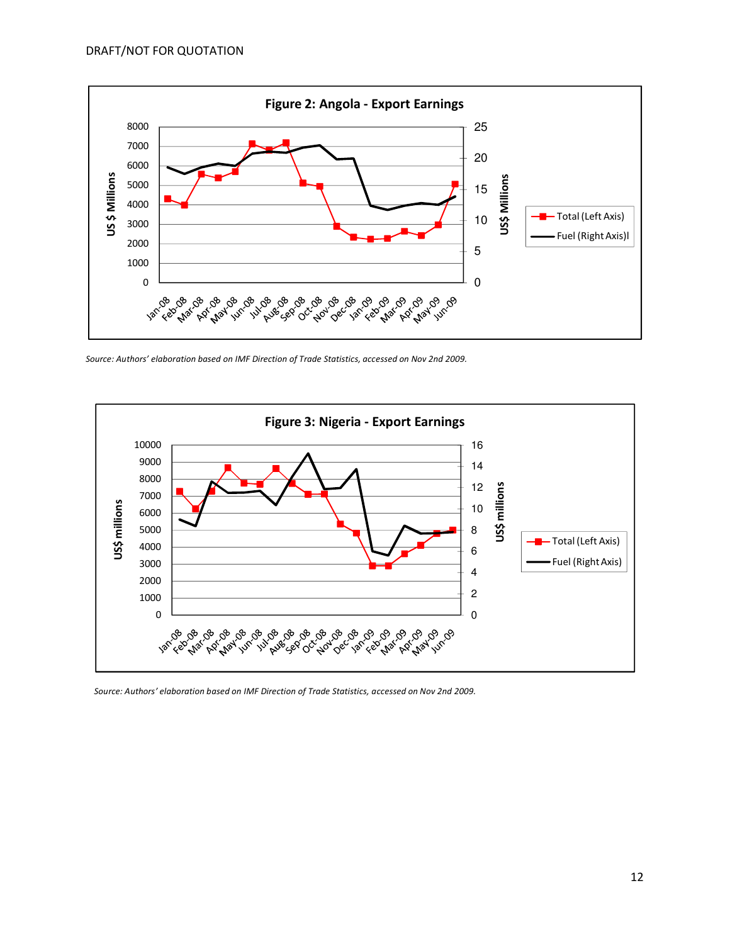

*Source: Authors' elaboration based on IMF Direction of Trade Statistics, accessed on Nov 2nd 2009.*



 *Source: Authors' elaboration based on IMF Direction of Trade Statistics, accessed on Nov 2nd 2009.*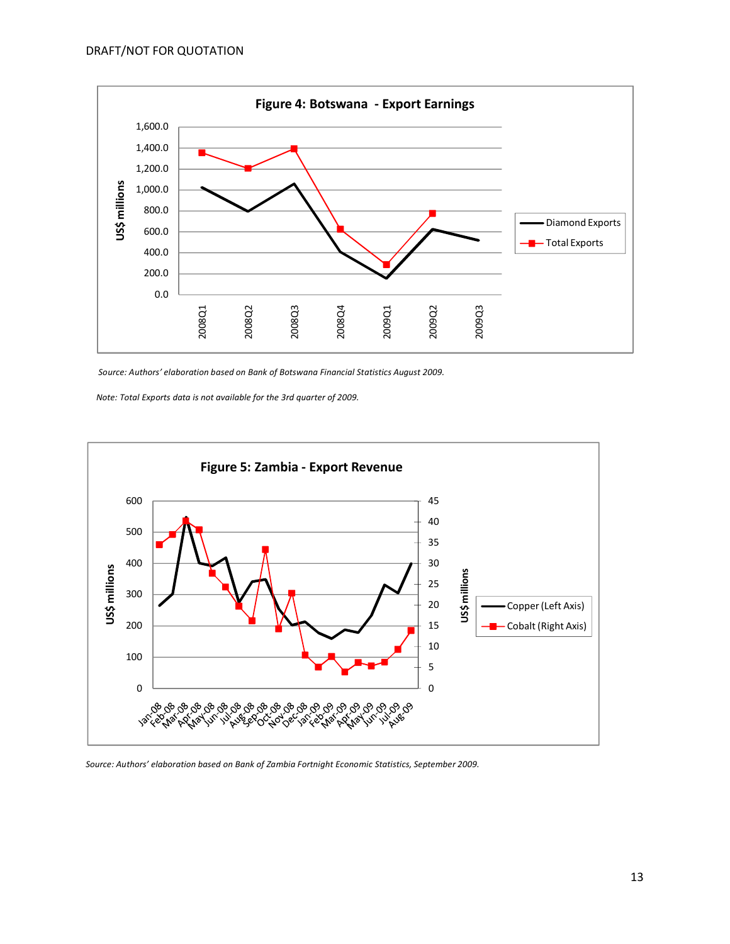

 *Source: Authors' elaboration based on Bank of Botswana Financial Statistics August 2009.* 

 *Note: Total Exports data is not available for the 3rd quarter of 2009.*



*Source: Authors' elaboration based on Bank of Zambia Fortnight Economic Statistics, September 2009.*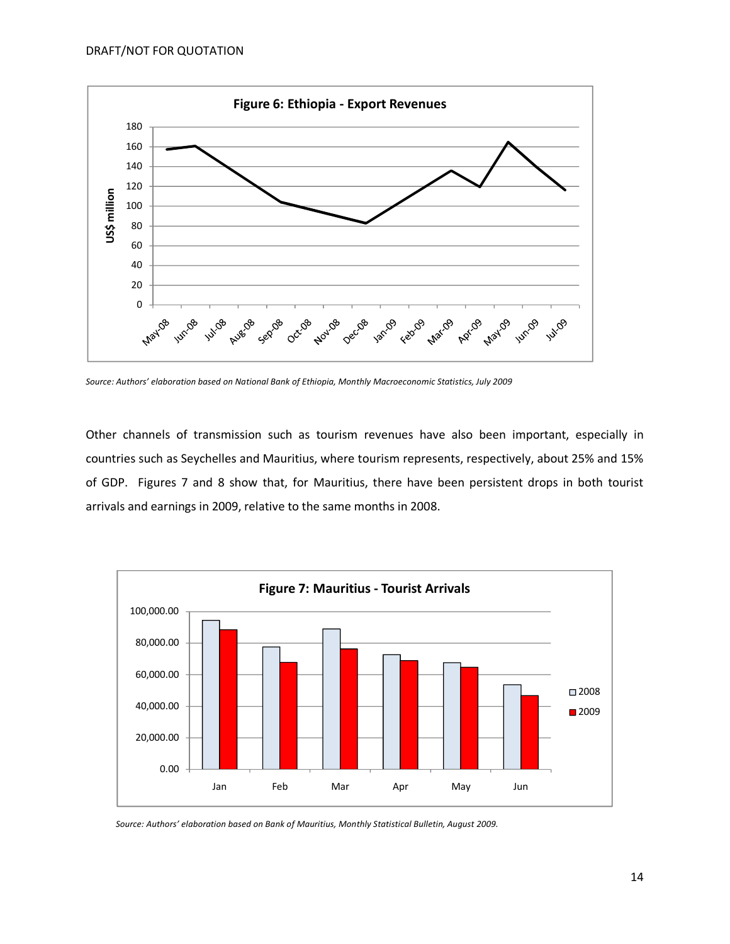

*Source: Authors' elaboration based on National Bank of Ethiopia, Monthly Macroeconomic Statistics, July 2009* 

Other channels of transmission such as tourism revenues have also been important, especially in countries such as Seychelles and Mauritius, where tourism represents, respectively, about 25% and 15% of GDP. Figures 7 and 8 show that, for Mauritius, there have been persistent drops in both tourist arrivals and earnings in 2009, relative to the same months in 2008.



 *Source: Authors' elaboration based on Bank of Mauritius, Monthly Statistical Bulletin, August 2009.*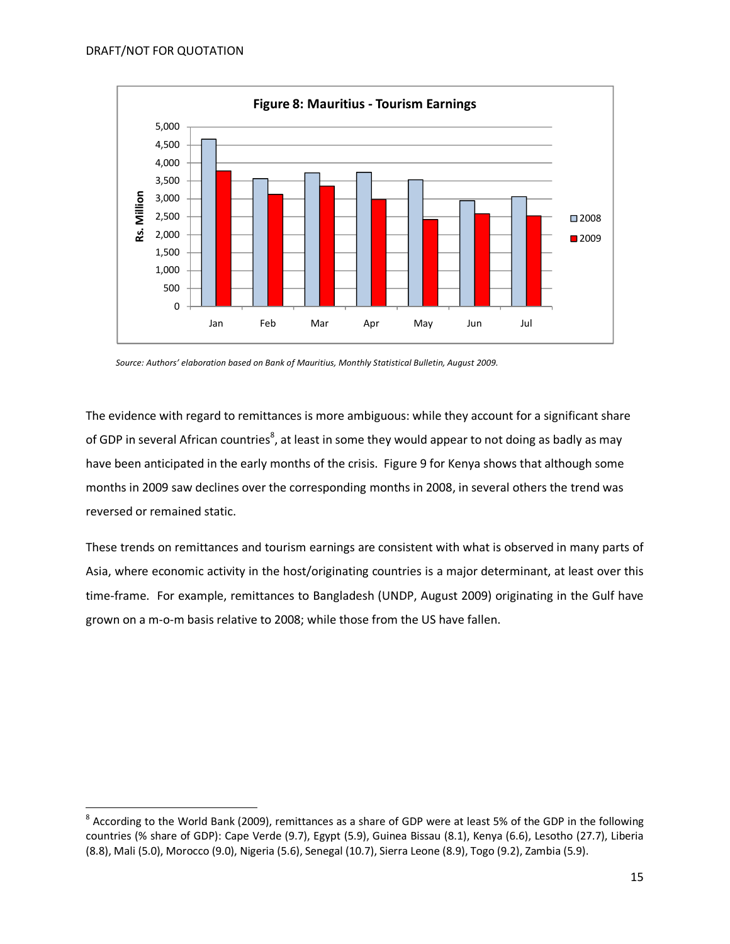$\overline{a}$ 



 *Source: Authors' elaboration based on Bank of Mauritius, Monthly Statistical Bulletin, August 2009.* 

The evidence with regard to remittances is more ambiguous: while they account for a significant share of GDP in several African countries<sup>8</sup>, at least in some they would appear to not doing as badly as may have been anticipated in the early months of the crisis. Figure 9 for Kenya shows that although some months in 2009 saw declines over the corresponding months in 2008, in several others the trend was reversed or remained static.

These trends on remittances and tourism earnings are consistent with what is observed in many parts of Asia, where economic activity in the host/originating countries is a major determinant, at least over this time-frame. For example, remittances to Bangladesh (UNDP, August 2009) originating in the Gulf have grown on a m-o-m basis relative to 2008; while those from the US have fallen.

 $^8$  According to the World Bank (2009), remittances as a share of GDP were at least 5% of the GDP in the following countries (% share of GDP): Cape Verde (9.7), Egypt (5.9), Guinea Bissau (8.1), Kenya (6.6), Lesotho (27.7), Liberia (8.8), Mali (5.0), Morocco (9.0), Nigeria (5.6), Senegal (10.7), Sierra Leone (8.9), Togo (9.2), Zambia (5.9).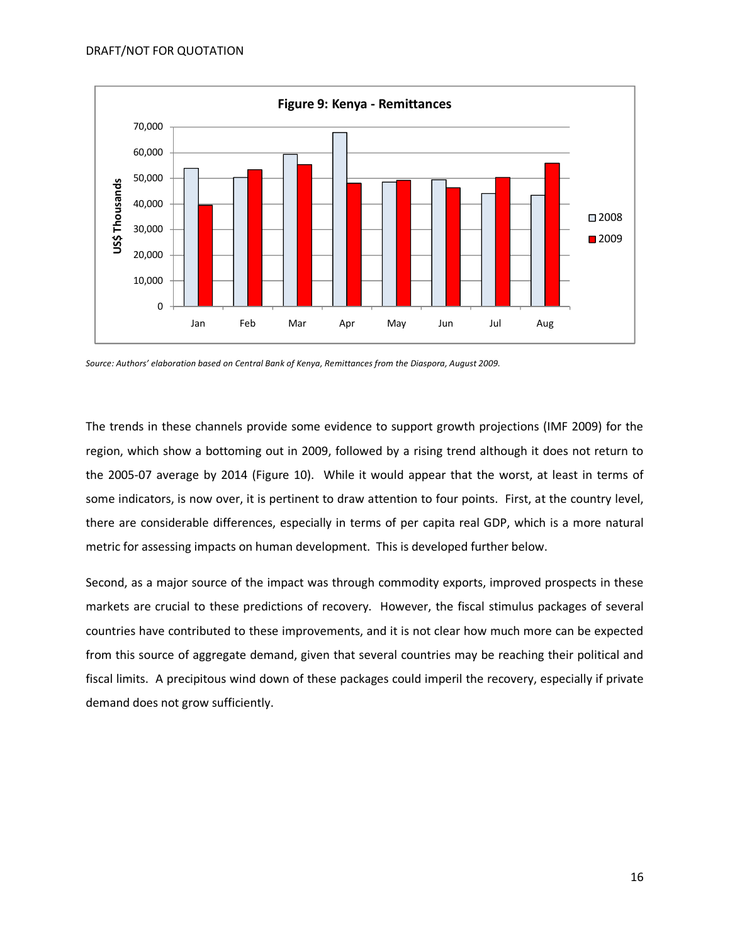

*Source: Authors' elaboration based on Central Bank of Kenya, Remittances from the Diaspora, August 2009.* 

The trends in these channels provide some evidence to support growth projections (IMF 2009) for the region, which show a bottoming out in 2009, followed by a rising trend although it does not return to the 2005-07 average by 2014 (Figure 10). While it would appear that the worst, at least in terms of some indicators, is now over, it is pertinent to draw attention to four points. First, at the country level, there are considerable differences, especially in terms of per capita real GDP, which is a more natural metric for assessing impacts on human development. This is developed further below.

Second, as a major source of the impact was through commodity exports, improved prospects in these markets are crucial to these predictions of recovery. However, the fiscal stimulus packages of several countries have contributed to these improvements, and it is not clear how much more can be expected from this source of aggregate demand, given that several countries may be reaching their political and fiscal limits. A precipitous wind down of these packages could imperil the recovery, especially if private demand does not grow sufficiently.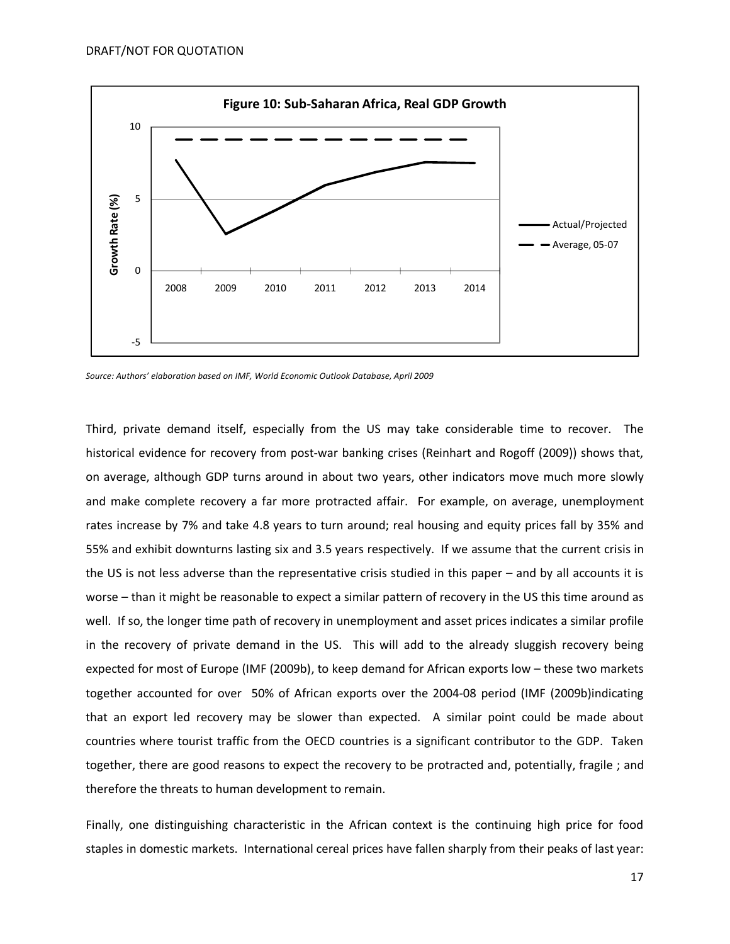

*Source: Authors' elaboration based on IMF, World Economic Outlook Database, April 2009* 

Third, private demand itself, especially from the US may take considerable time to recover. The historical evidence for recovery from post-war banking crises (Reinhart and Rogoff (2009)) shows that, on average, although GDP turns around in about two years, other indicators move much more slowly and make complete recovery a far more protracted affair. For example, on average, unemployment rates increase by 7% and take 4.8 years to turn around; real housing and equity prices fall by 35% and 55% and exhibit downturns lasting six and 3.5 years respectively. If we assume that the current crisis in the US is not less adverse than the representative crisis studied in this paper – and by all accounts it is worse – than it might be reasonable to expect a similar pattern of recovery in the US this time around as well. If so, the longer time path of recovery in unemployment and asset prices indicates a similar profile in the recovery of private demand in the US. This will add to the already sluggish recovery being expected for most of Europe (IMF (2009b), to keep demand for African exports low – these two markets together accounted for over 50% of African exports over the 2004-08 period (IMF (2009b)indicating that an export led recovery may be slower than expected. A similar point could be made about countries where tourist traffic from the OECD countries is a significant contributor to the GDP. Taken together, there are good reasons to expect the recovery to be protracted and, potentially, fragile ; and therefore the threats to human development to remain.

Finally, one distinguishing characteristic in the African context is the continuing high price for food staples in domestic markets. International cereal prices have fallen sharply from their peaks of last year: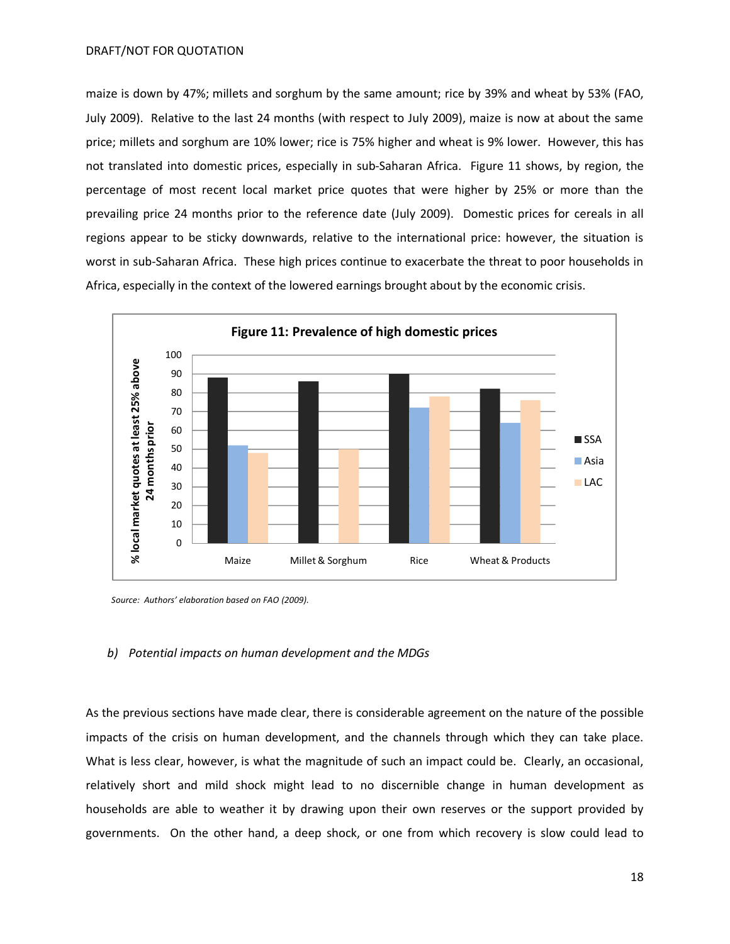maize is down by 47%; millets and sorghum by the same amount; rice by 39% and wheat by 53% (FAO, July 2009). Relative to the last 24 months (with respect to July 2009), maize is now at about the same price; millets and sorghum are 10% lower; rice is 75% higher and wheat is 9% lower. However, this has not translated into domestic prices, especially in sub-Saharan Africa. Figure 11 shows, by region, the percentage of most recent local market price quotes that were higher by 25% or more than the prevailing price 24 months prior to the reference date (July 2009). Domestic prices for cereals in all regions appear to be sticky downwards, relative to the international price: however, the situation is worst in sub-Saharan Africa. These high prices continue to exacerbate the threat to poor households in Africa, especially in the context of the lowered earnings brought about by the economic crisis.



*Source: Authors' elaboration based on FAO (2009).* 

#### *b) Potential impacts on human development and the MDGs*

As the previous sections have made clear, there is considerable agreement on the nature of the possible impacts of the crisis on human development, and the channels through which they can take place. What is less clear, however, is what the magnitude of such an impact could be. Clearly, an occasional, relatively short and mild shock might lead to no discernible change in human development as households are able to weather it by drawing upon their own reserves or the support provided by governments. On the other hand, a deep shock, or one from which recovery is slow could lead to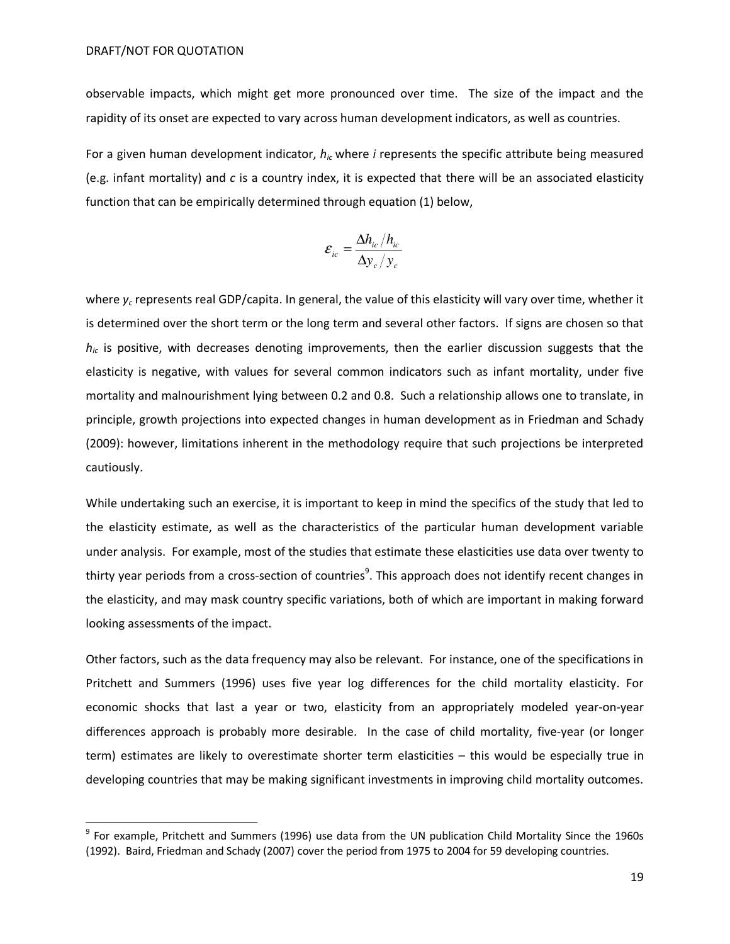l

observable impacts, which might get more pronounced over time. The size of the impact and the rapidity of its onset are expected to vary across human development indicators, as well as countries.

For a given human development indicator, *hic* where *i* represents the specific attribute being measured (e.g. infant mortality) and *c* is a country index, it is expected that there will be an associated elasticity function that can be empirically determined through equation (1) below,

$$
\varepsilon_{ic} = \frac{\Delta h_{ic} / h_{ic}}{\Delta y_c / y_c}
$$

where  $y_c$  represents real GDP/capita. In general, the value of this elasticity will vary over time, whether it is determined over the short term or the long term and several other factors. If signs are chosen so that  $h_{ic}$  is positive, with decreases denoting improvements, then the earlier discussion suggests that the elasticity is negative, with values for several common indicators such as infant mortality, under five mortality and malnourishment lying between 0.2 and 0.8. Such a relationship allows one to translate, in principle, growth projections into expected changes in human development as in Friedman and Schady (2009): however, limitations inherent in the methodology require that such projections be interpreted cautiously.

While undertaking such an exercise, it is important to keep in mind the specifics of the study that led to the elasticity estimate, as well as the characteristics of the particular human development variable under analysis. For example, most of the studies that estimate these elasticities use data over twenty to thirty year periods from a cross-section of countries<sup>9</sup>. This approach does not identify recent changes in the elasticity, and may mask country specific variations, both of which are important in making forward looking assessments of the impact.

Other factors, such as the data frequency may also be relevant. For instance, one of the specifications in Pritchett and Summers (1996) uses five year log differences for the child mortality elasticity. For economic shocks that last a year or two, elasticity from an appropriately modeled year-on-year differences approach is probably more desirable. In the case of child mortality, five-year (or longer term) estimates are likely to overestimate shorter term elasticities – this would be especially true in developing countries that may be making significant investments in improving child mortality outcomes.

 $9$  For example, Pritchett and Summers (1996) use data from the UN publication Child Mortality Since the 1960s (1992). Baird, Friedman and Schady (2007) cover the period from 1975 to 2004 for 59 developing countries.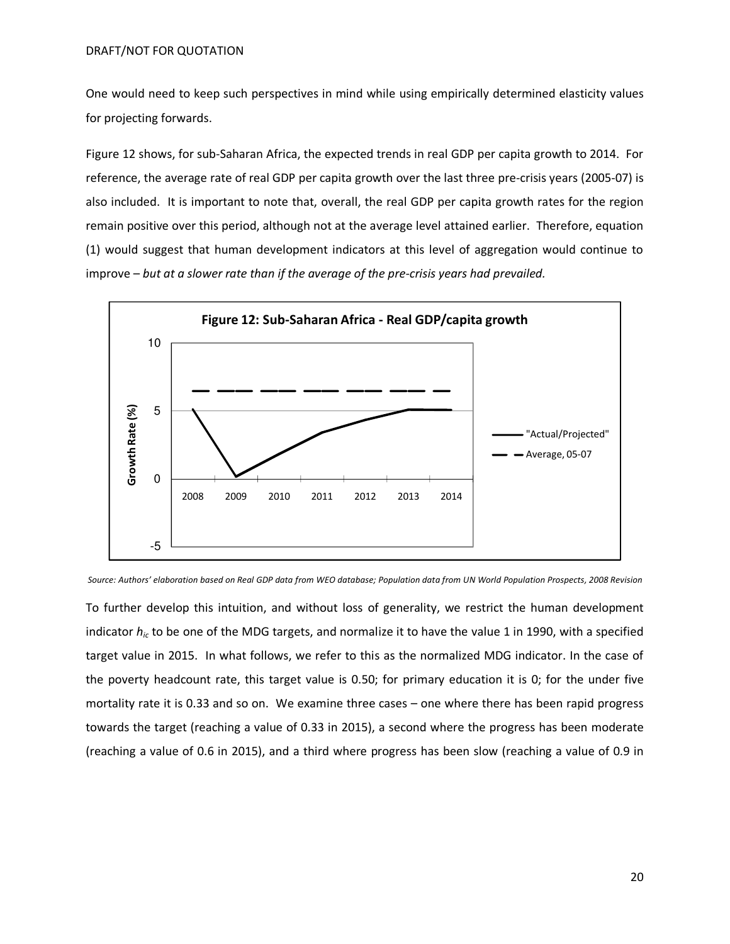One would need to keep such perspectives in mind while using empirically determined elasticity values for projecting forwards.

Figure 12 shows, for sub-Saharan Africa, the expected trends in real GDP per capita growth to 2014. For reference, the average rate of real GDP per capita growth over the last three pre-crisis years (2005-07) is also included. It is important to note that, overall, the real GDP per capita growth rates for the region remain positive over this period, although not at the average level attained earlier. Therefore, equation (1) would suggest that human development indicators at this level of aggregation would continue to improve – *but at a slower rate than if the average of the pre-crisis years had prevailed.*



 *Source: Authors' elaboration based on Real GDP data from WEO database; Population data from UN World Population Prospects, 2008 Revision*  To further develop this intuition, and without loss of generality, we restrict the human development indicator *hic* to be one of the MDG targets, and normalize it to have the value 1 in 1990, with a specified target value in 2015. In what follows, we refer to this as the normalized MDG indicator. In the case of the poverty headcount rate, this target value is 0.50; for primary education it is 0; for the under five mortality rate it is 0.33 and so on. We examine three cases – one where there has been rapid progress towards the target (reaching a value of 0.33 in 2015), a second where the progress has been moderate (reaching a value of 0.6 in 2015), and a third where progress has been slow (reaching a value of 0.9 in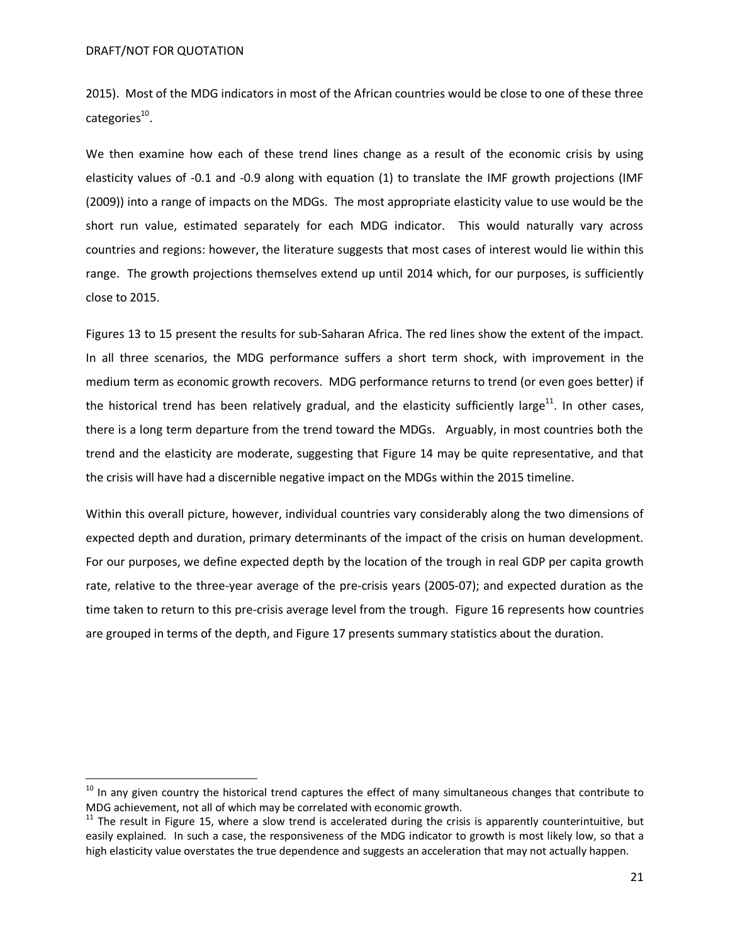$\overline{a}$ 

2015). Most of the MDG indicators in most of the African countries would be close to one of these three categories<sup>10</sup>.

We then examine how each of these trend lines change as a result of the economic crisis by using elasticity values of -0.1 and -0.9 along with equation (1) to translate the IMF growth projections (IMF (2009)) into a range of impacts on the MDGs. The most appropriate elasticity value to use would be the short run value, estimated separately for each MDG indicator. This would naturally vary across countries and regions: however, the literature suggests that most cases of interest would lie within this range. The growth projections themselves extend up until 2014 which, for our purposes, is sufficiently close to 2015.

Figures 13 to 15 present the results for sub-Saharan Africa. The red lines show the extent of the impact. In all three scenarios, the MDG performance suffers a short term shock, with improvement in the medium term as economic growth recovers. MDG performance returns to trend (or even goes better) if the historical trend has been relatively gradual, and the elasticity sufficiently large<sup>11</sup>. In other cases, there is a long term departure from the trend toward the MDGs. Arguably, in most countries both the trend and the elasticity are moderate, suggesting that Figure 14 may be quite representative, and that the crisis will have had a discernible negative impact on the MDGs within the 2015 timeline.

Within this overall picture, however, individual countries vary considerably along the two dimensions of expected depth and duration, primary determinants of the impact of the crisis on human development. For our purposes, we define expected depth by the location of the trough in real GDP per capita growth rate, relative to the three-year average of the pre-crisis years (2005-07); and expected duration as the time taken to return to this pre-crisis average level from the trough. Figure 16 represents how countries are grouped in terms of the depth, and Figure 17 presents summary statistics about the duration.

 $10$  In any given country the historical trend captures the effect of many simultaneous changes that contribute to MDG achievement, not all of which may be correlated with economic growth.

 $11$  The result in Figure 15, where a slow trend is accelerated during the crisis is apparently counterintuitive, but easily explained. In such a case, the responsiveness of the MDG indicator to growth is most likely low, so that a high elasticity value overstates the true dependence and suggests an acceleration that may not actually happen.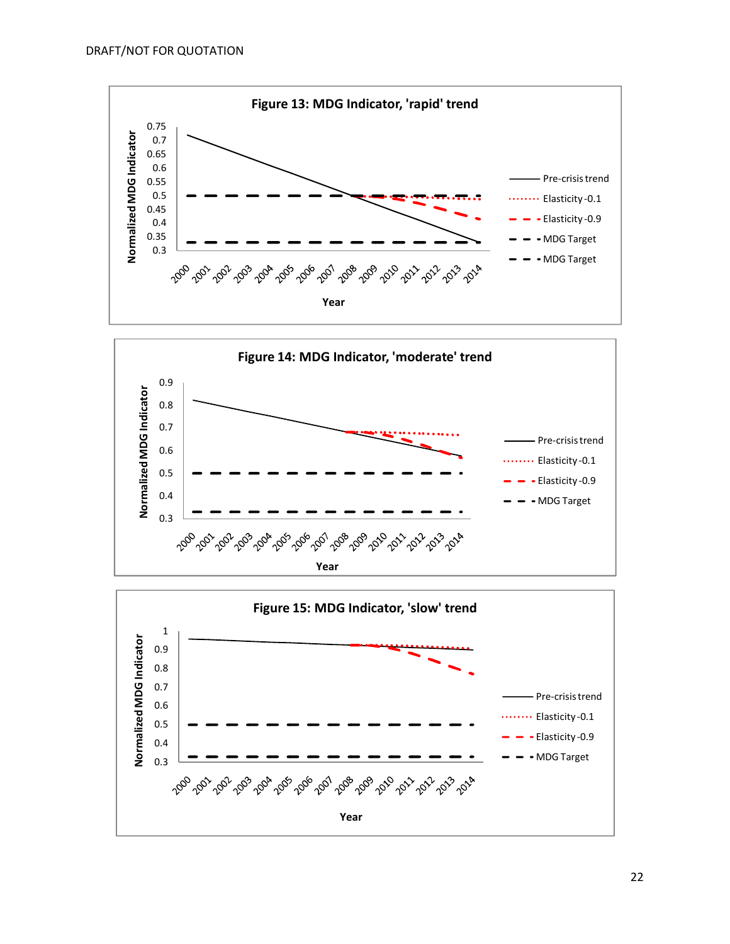



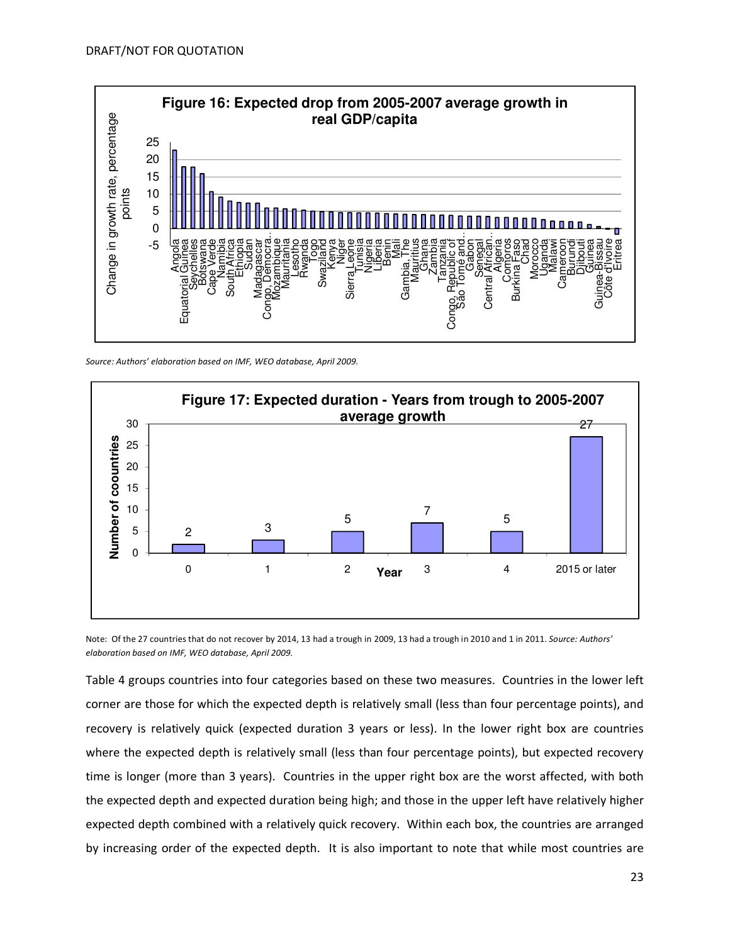

*Source: Authors' elaboration based on IMF, WEO database, April 2009.* 



Note: Of the 27 countries that do not recover by 2014, 13 had a trough in 2009, 13 had a trough in 2010 and 1 in 2011. *Source: Authors' elaboration based on IMF, WEO database, April 2009.*

Table 4 groups countries into four categories based on these two measures. Countries in the lower left corner are those for which the expected depth is relatively small (less than four percentage points), and recovery is relatively quick (expected duration 3 years or less). In the lower right box are countries where the expected depth is relatively small (less than four percentage points), but expected recovery time is longer (more than 3 years). Countries in the upper right box are the worst affected, with both the expected depth and expected duration being high; and those in the upper left have relatively higher expected depth combined with a relatively quick recovery. Within each box, the countries are arranged by increasing order of the expected depth. It is also important to note that while most countries are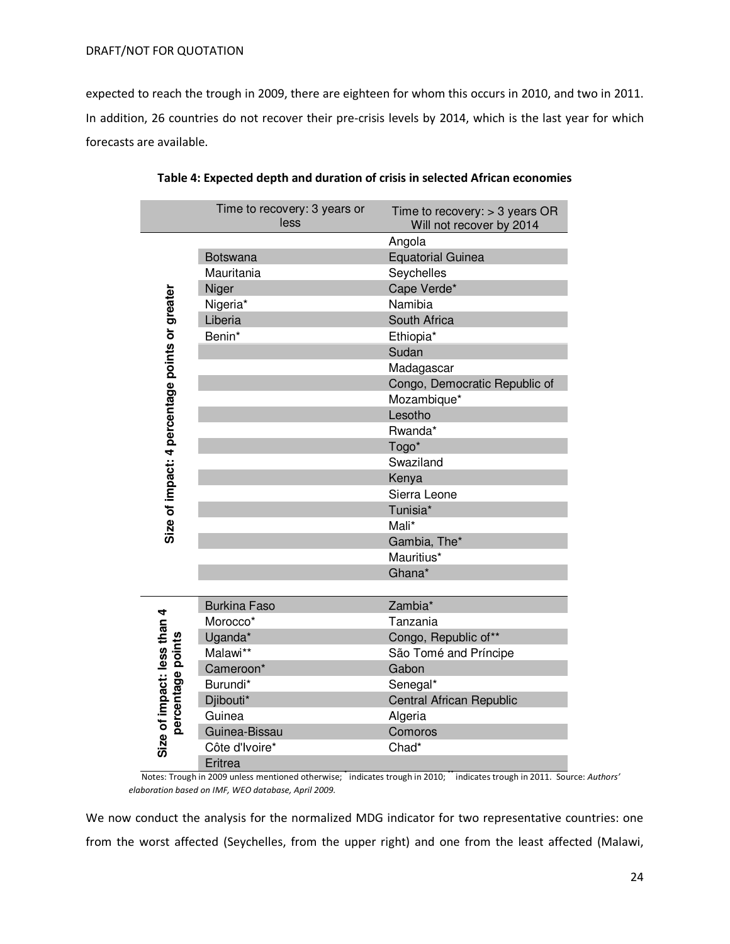## DRAFT/NOT FOR QUOTATION

expected to reach the trough in 2009, there are eighteen for whom this occurs in 2010, and two in 2011. In addition, 26 countries do not recover their pre-crisis levels by 2014, which is the last year for which forecasts are available.

|                                                | Time to recovery: 3 years or<br>less | Time to recovery: $>$ 3 years OR<br>Will not recover by 2014 |
|------------------------------------------------|--------------------------------------|--------------------------------------------------------------|
|                                                |                                      | Angola                                                       |
|                                                | <b>Botswana</b>                      | <b>Equatorial Guinea</b>                                     |
|                                                | Mauritania                           | Seychelles                                                   |
|                                                | Niger                                | Cape Verde*                                                  |
|                                                | Nigeria*                             | Namibia                                                      |
|                                                | Liberia                              | South Africa                                                 |
|                                                | Benin*                               | Ethiopia*                                                    |
|                                                |                                      | Sudan                                                        |
|                                                |                                      | Madagascar                                                   |
|                                                |                                      | Congo, Democratic Republic of                                |
|                                                |                                      | Mozambique*                                                  |
|                                                |                                      | Lesotho                                                      |
| Size of impact: 4 percentage points or greater |                                      | Rwanda*                                                      |
|                                                |                                      | Togo*                                                        |
|                                                |                                      | Swaziland                                                    |
|                                                |                                      | Kenya                                                        |
|                                                |                                      | Sierra Leone                                                 |
|                                                |                                      | Tunisia*                                                     |
|                                                |                                      | Mali*                                                        |
|                                                |                                      | Gambia, The*                                                 |
|                                                |                                      | Mauritius*                                                   |
|                                                |                                      | Ghana*                                                       |
|                                                | <b>Burkina Faso</b>                  | Zambia <sup>*</sup>                                          |
|                                                | Morocco*                             | Tanzania                                                     |
|                                                | Uganda*                              | Congo, Republic of**                                         |
|                                                | Malawi**                             | São Tomé and Príncipe                                        |
|                                                | Cameroon*                            | Gabon                                                        |
|                                                | Burundi*                             | Senegal*                                                     |
|                                                | Djibouti*                            | Central African Republic                                     |
| percentage points                              | Guinea                               | Algeria                                                      |
| Size of impact: less than 4                    | Guinea-Bissau                        | Comoros                                                      |
|                                                | Côte d'Ivoire*                       | Chad*                                                        |
|                                                | Eritrea                              |                                                              |

**Table 4: Expected depth and duration of crisis in selected African economies** 

Notes: Trough in 2009 unless mentioned otherwise; indicates trough in 2010; indicates trough in 2011. Source: Authors' *elaboration based on IMF, WEO database, April 2009.*

We now conduct the analysis for the normalized MDG indicator for two representative countries: one from the worst affected (Seychelles, from the upper right) and one from the least affected (Malawi,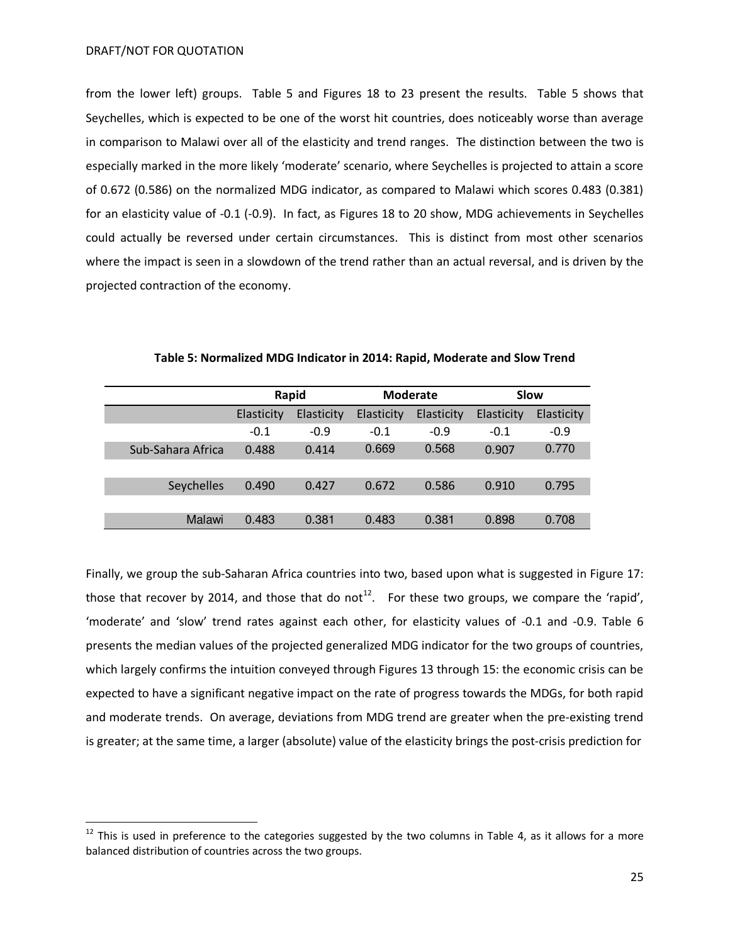-

from the lower left) groups. Table 5 and Figures 18 to 23 present the results. Table 5 shows that Seychelles, which is expected to be one of the worst hit countries, does noticeably worse than average in comparison to Malawi over all of the elasticity and trend ranges. The distinction between the two is especially marked in the more likely 'moderate' scenario, where Seychelles is projected to attain a score of 0.672 (0.586) on the normalized MDG indicator, as compared to Malawi which scores 0.483 (0.381) for an elasticity value of -0.1 (-0.9). In fact, as Figures 18 to 20 show, MDG achievements in Seychelles could actually be reversed under certain circumstances. This is distinct from most other scenarios where the impact is seen in a slowdown of the trend rather than an actual reversal, and is driven by the projected contraction of the economy.

|                   | Rapid      |            | <b>Moderate</b> |            | <b>Slow</b> |                   |
|-------------------|------------|------------|-----------------|------------|-------------|-------------------|
|                   | Elasticity | Elasticity | Elasticity      | Elasticity | Elasticity  | <b>Elasticity</b> |
|                   | $-0.1$     | $-0.9$     | $-0.1$          | $-0.9$     | $-0.1$      | $-0.9$            |
| Sub-Sahara Africa | 0.488      | 0.414      | 0.669           | 0.568      | 0.907       | 0.770             |
|                   |            |            |                 |            |             |                   |
| Seychelles        | 0.490      | 0.427      | 0.672           | 0.586      | 0.910       | 0.795             |
|                   |            |            |                 |            |             |                   |
| Malawi            | 0.483      | 0.381      | 0.483           | 0.381      | 0.898       | 0.708             |

**Table 5: Normalized MDG Indicator in 2014: Rapid, Moderate and Slow Trend** 

Finally, we group the sub-Saharan Africa countries into two, based upon what is suggested in Figure 17: those that recover by 2014, and those that do not<sup>12</sup>. For these two groups, we compare the 'rapid', 'moderate' and 'slow' trend rates against each other, for elasticity values of -0.1 and -0.9. Table 6 presents the median values of the projected generalized MDG indicator for the two groups of countries, which largely confirms the intuition conveyed through Figures 13 through 15: the economic crisis can be expected to have a significant negative impact on the rate of progress towards the MDGs, for both rapid and moderate trends. On average, deviations from MDG trend are greater when the pre-existing trend is greater; at the same time, a larger (absolute) value of the elasticity brings the post-crisis prediction for

 $12$  This is used in preference to the categories suggested by the two columns in Table 4, as it allows for a more balanced distribution of countries across the two groups.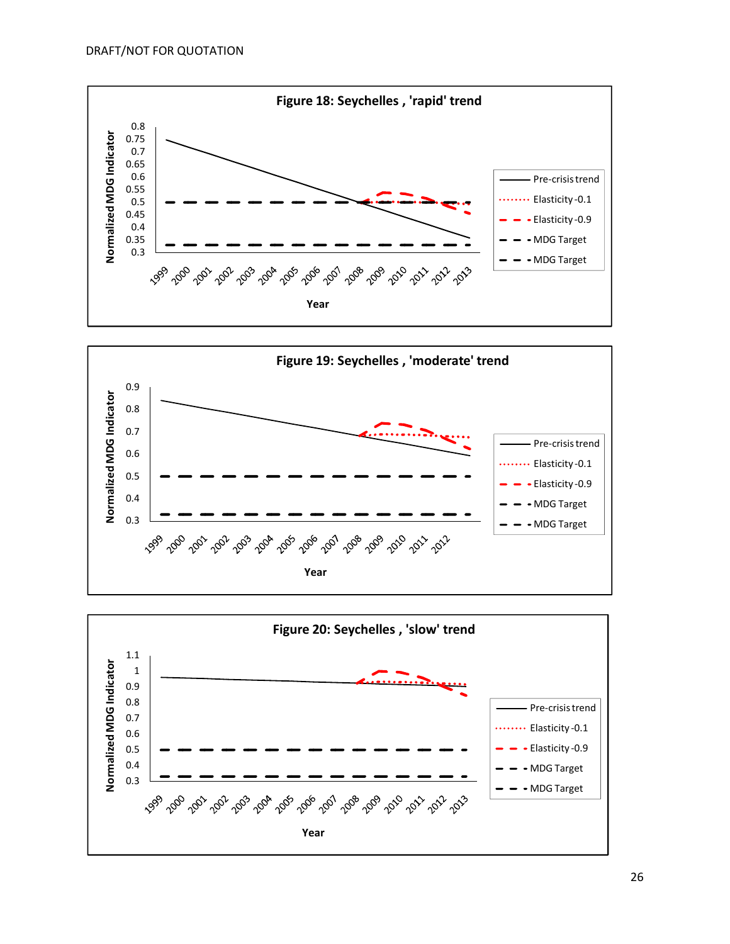



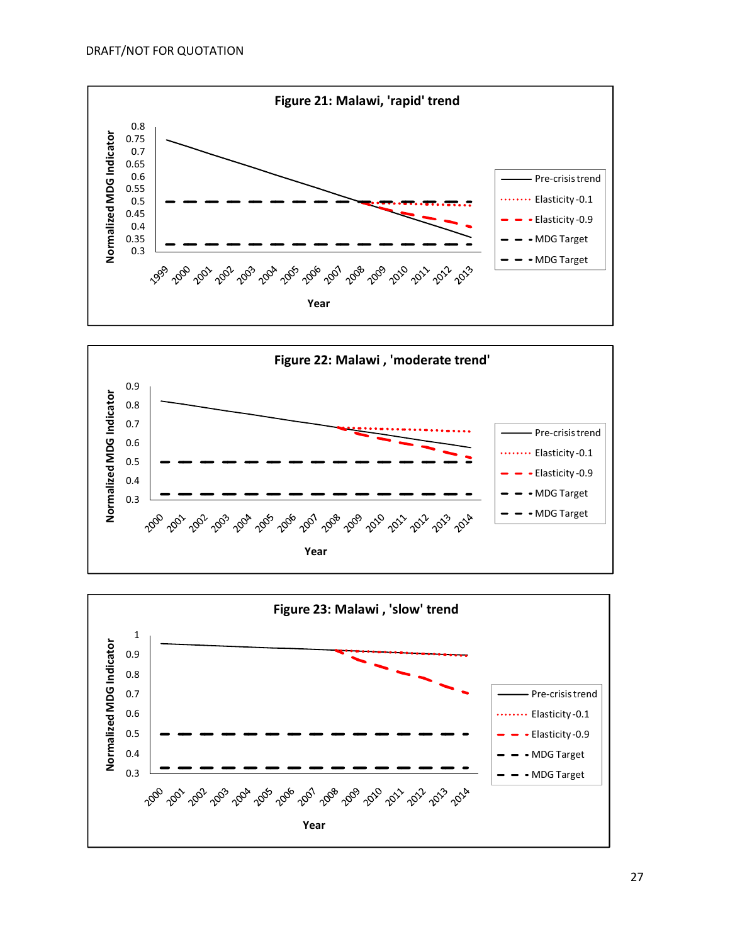



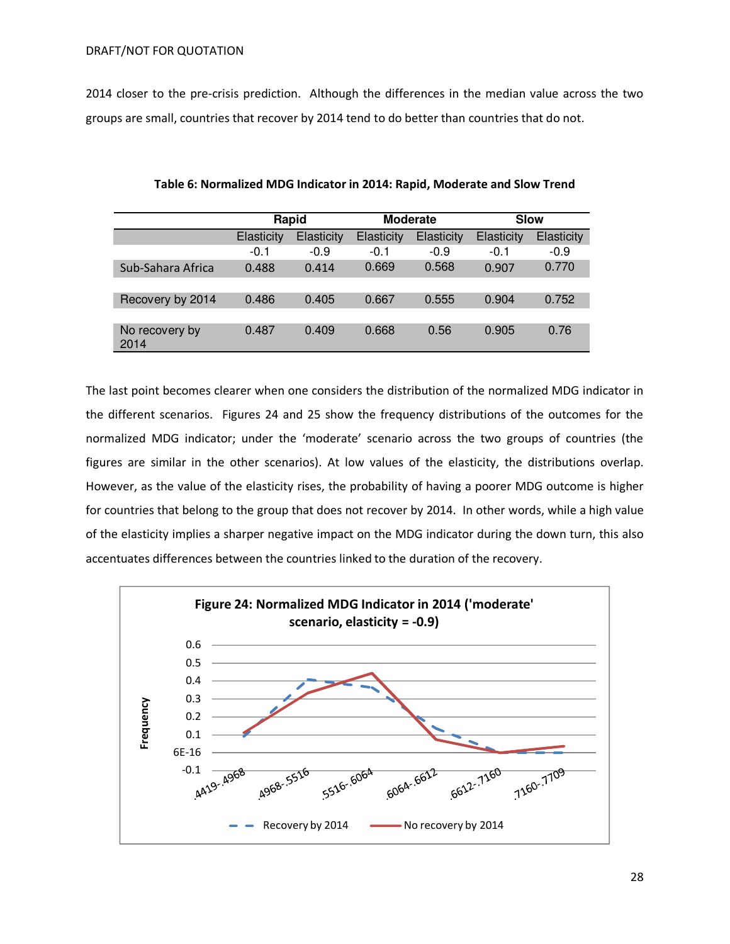2014 closer to the pre-crisis prediction. Although the differences in the median value across the two groups are small, countries that recover by 2014 tend to do better than countries that do not.

|                        | Rapid      |            | <b>Moderate</b> |            | <b>Slow</b>       |            |
|------------------------|------------|------------|-----------------|------------|-------------------|------------|
|                        | Elasticity | Elasticity | Elasticity      | Elasticity | <b>Elasticity</b> | Elasticity |
|                        | $-0.1$     | $-0.9$     | $-0.1$          | $-0.9$     | $-0.1$            | $-0.9$     |
| Sub-Sahara Africa      | 0.488      | 0.414      | 0.669           | 0.568      | 0.907             | 0.770      |
|                        |            |            |                 |            |                   |            |
| Recovery by 2014       | 0.486      | 0.405      | 0.667           | 0.555      | 0.904             | 0.752      |
|                        |            |            |                 |            |                   |            |
| No recovery by<br>2014 | 0.487      | 0.409      | 0.668           | 0.56       | 0.905             | 0.76       |

| Table 6: Normalized MDG Indicator in 2014: Rapid, Moderate and Slow Trend |  |
|---------------------------------------------------------------------------|--|
|---------------------------------------------------------------------------|--|

The last point becomes clearer when one considers the distribution of the normalized MDG indicator in the different scenarios. Figures 24 and 25 show the frequency distributions of the outcomes for the normalized MDG indicator; under the 'moderate' scenario across the two groups of countries (the figures are similar in the other scenarios). At low values of the elasticity, the distributions overlap. However, as the value of the elasticity rises, the probability of having a poorer MDG outcome is higher for countries that belong to the group that does not recover by 2014. In other words, while a high value of the elasticity implies a sharper negative impact on the MDG indicator during the down turn, this also accentuates differences between the countries linked to the duration of the recovery.

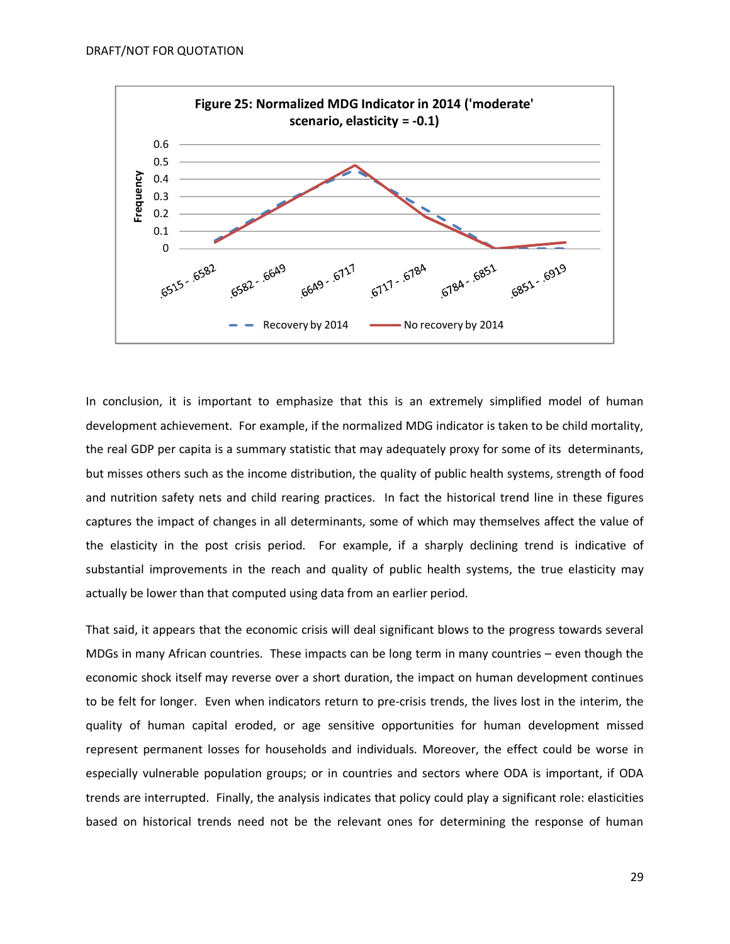

In conclusion, it is important to emphasize that this is an extremely simplified model of human development achievement. For example, if the normalized MDG indicator is taken to be child mortality, the real GDP per capita is a summary statistic that may adequately proxy for some of its determinants, but misses others such as the income distribution, the quality of public health systems, strength of food and nutrition safety nets and child rearing practices. In fact the historical trend line in these figures captures the impact of changes in all determinants, some of which may themselves affect the value of the elasticity in the post crisis period. For example, if a sharply declining trend is indicative of substantial improvements in the reach and quality of public health systems, the true elasticity may actually be lower than that computed using data from an earlier period.

That said, it appears that the economic crisis will deal significant blows to the progress towards several MDGs in many African countries. These impacts can be long term in many countries – even though the economic shock itself may reverse over a short duration, the impact on human development continues to be felt for longer. Even when indicators return to pre-crisis trends, the lives lost in the interim, the quality of human capital eroded, or age sensitive opportunities for human development missed represent permanent losses for households and individuals. Moreover, the effect could be worse in especially vulnerable population groups; or in countries and sectors where ODA is important, if ODA trends are interrupted. Finally, the analysis indicates that policy could play a significant role: elasticities based on historical trends need not be the relevant ones for determining the response of human

29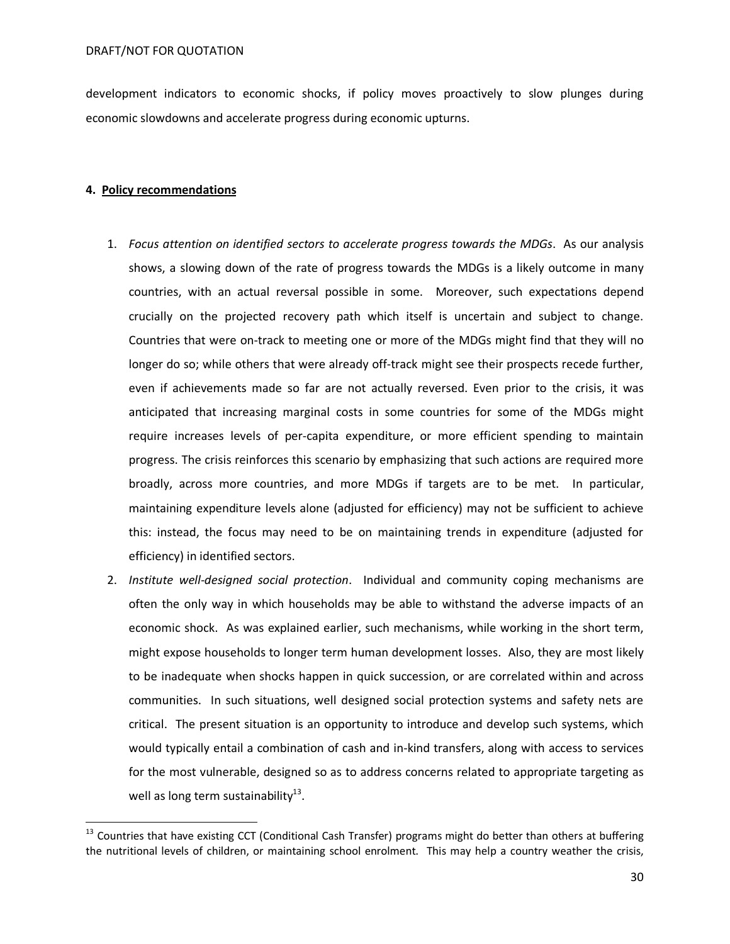development indicators to economic shocks, if policy moves proactively to slow plunges during economic slowdowns and accelerate progress during economic upturns.

## **4. Policy recommendations**

l

- 1. *Focus attention on identified sectors to accelerate progress towards the MDGs*. As our analysis shows, a slowing down of the rate of progress towards the MDGs is a likely outcome in many countries, with an actual reversal possible in some. Moreover, such expectations depend crucially on the projected recovery path which itself is uncertain and subject to change. Countries that were on-track to meeting one or more of the MDGs might find that they will no longer do so; while others that were already off-track might see their prospects recede further, even if achievements made so far are not actually reversed. Even prior to the crisis, it was anticipated that increasing marginal costs in some countries for some of the MDGs might require increases levels of per-capita expenditure, or more efficient spending to maintain progress. The crisis reinforces this scenario by emphasizing that such actions are required more broadly, across more countries, and more MDGs if targets are to be met. In particular, maintaining expenditure levels alone (adjusted for efficiency) may not be sufficient to achieve this: instead, the focus may need to be on maintaining trends in expenditure (adjusted for efficiency) in identified sectors.
- 2. *Institute well-designed social protection*. Individual and community coping mechanisms are often the only way in which households may be able to withstand the adverse impacts of an economic shock. As was explained earlier, such mechanisms, while working in the short term, might expose households to longer term human development losses. Also, they are most likely to be inadequate when shocks happen in quick succession, or are correlated within and across communities. In such situations, well designed social protection systems and safety nets are critical. The present situation is an opportunity to introduce and develop such systems, which would typically entail a combination of cash and in-kind transfers, along with access to services for the most vulnerable, designed so as to address concerns related to appropriate targeting as well as long term sustainability $^{13}$ .

<sup>&</sup>lt;sup>13</sup> Countries that have existing CCT (Conditional Cash Transfer) programs might do better than others at buffering the nutritional levels of children, or maintaining school enrolment. This may help a country weather the crisis,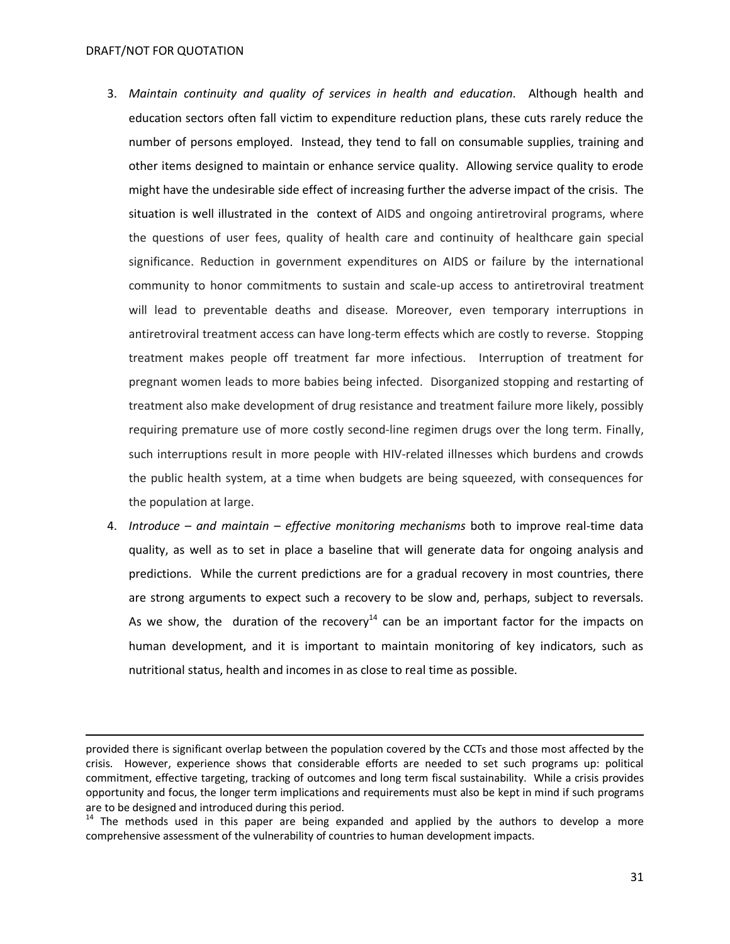l

- 3. *Maintain continuity and quality of services in health and education*. Although health and education sectors often fall victim to expenditure reduction plans, these cuts rarely reduce the number of persons employed. Instead, they tend to fall on consumable supplies, training and other items designed to maintain or enhance service quality. Allowing service quality to erode might have the undesirable side effect of increasing further the adverse impact of the crisis. The situation is well illustrated in the context of AIDS and ongoing antiretroviral programs, where the questions of user fees, quality of health care and continuity of healthcare gain special significance. Reduction in government expenditures on AIDS or failure by the international community to honor commitments to sustain and scale-up access to antiretroviral treatment will lead to preventable deaths and disease. Moreover, even temporary interruptions in antiretroviral treatment access can have long-term effects which are costly to reverse. Stopping treatment makes people off treatment far more infectious. Interruption of treatment for pregnant women leads to more babies being infected. Disorganized stopping and restarting of treatment also make development of drug resistance and treatment failure more likely, possibly requiring premature use of more costly second-line regimen drugs over the long term. Finally, such interruptions result in more people with HIV-related illnesses which burdens and crowds the public health system, at a time when budgets are being squeezed, with consequences for the population at large.
- 4. *Introduce and maintain effective monitoring mechanisms* both to improve real-time data quality, as well as to set in place a baseline that will generate data for ongoing analysis and predictions. While the current predictions are for a gradual recovery in most countries, there are strong arguments to expect such a recovery to be slow and, perhaps, subject to reversals. As we show, the duration of the recovery<sup>14</sup> can be an important factor for the impacts on human development, and it is important to maintain monitoring of key indicators, such as nutritional status, health and incomes in as close to real time as possible.

provided there is significant overlap between the population covered by the CCTs and those most affected by the crisis. However, experience shows that considerable efforts are needed to set such programs up: political commitment, effective targeting, tracking of outcomes and long term fiscal sustainability. While a crisis provides opportunity and focus, the longer term implications and requirements must also be kept in mind if such programs are to be designed and introduced during this period.

<sup>&</sup>lt;sup>14</sup> The methods used in this paper are being expanded and applied by the authors to develop a more comprehensive assessment of the vulnerability of countries to human development impacts.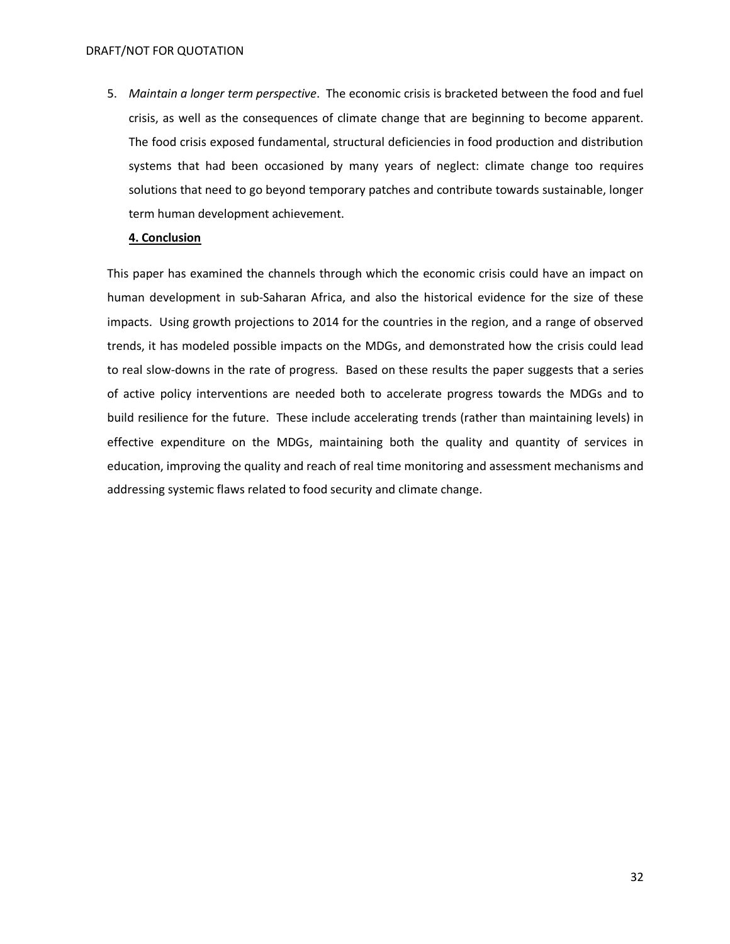5. *Maintain a longer term perspective*. The economic crisis is bracketed between the food and fuel crisis, as well as the consequences of climate change that are beginning to become apparent. The food crisis exposed fundamental, structural deficiencies in food production and distribution systems that had been occasioned by many years of neglect: climate change too requires solutions that need to go beyond temporary patches and contribute towards sustainable, longer term human development achievement.

#### **4. Conclusion**

This paper has examined the channels through which the economic crisis could have an impact on human development in sub-Saharan Africa, and also the historical evidence for the size of these impacts. Using growth projections to 2014 for the countries in the region, and a range of observed trends, it has modeled possible impacts on the MDGs, and demonstrated how the crisis could lead to real slow-downs in the rate of progress. Based on these results the paper suggests that a series of active policy interventions are needed both to accelerate progress towards the MDGs and to build resilience for the future. These include accelerating trends (rather than maintaining levels) in effective expenditure on the MDGs, maintaining both the quality and quantity of services in education, improving the quality and reach of real time monitoring and assessment mechanisms and addressing systemic flaws related to food security and climate change.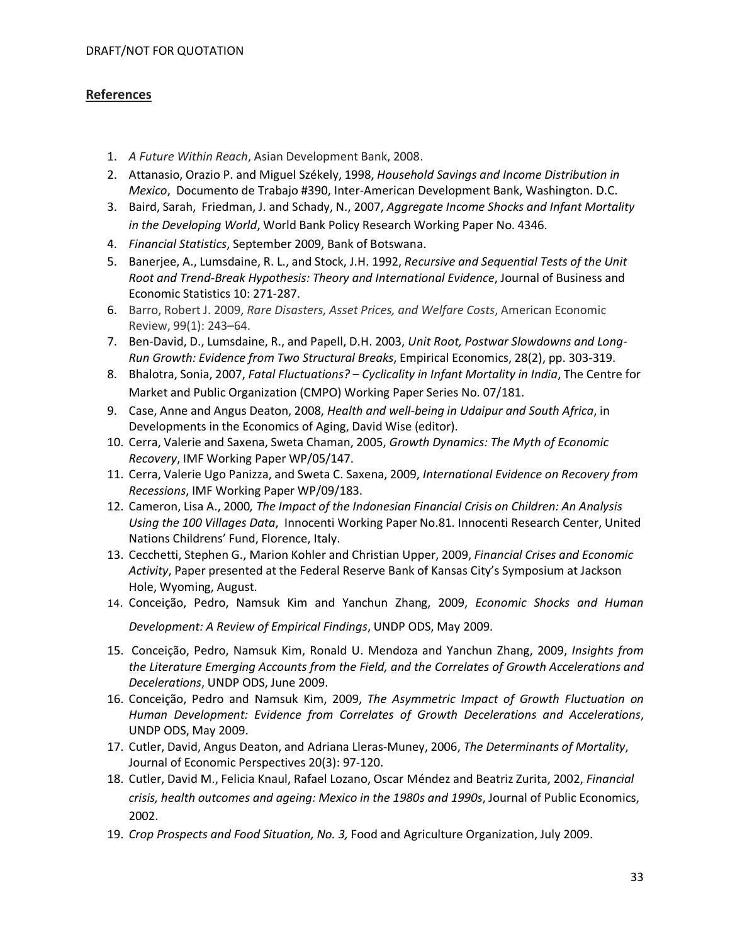# **References**

- 1. *A Future Within Reach*, Asian Development Bank, 2008.
- 2. Attanasio, Orazio P. and Miguel Székely, 1998, *Household Savings and Income Distribution in Mexico*, Documento de Trabajo #390, Inter-American Development Bank, Washington. D.C.
- 3. Baird, Sarah, Friedman, J. and Schady, N., 2007, *Aggregate Income Shocks and Infant Mortality in the Developing World*, World Bank Policy Research Working Paper No. 4346.
- 4. *Financial Statistics*, September 2009, Bank of Botswana.
- 5. Banerjee, A., Lumsdaine, R. L., and Stock, J.H. 1992, *Recursive and Sequential Tests of the Unit Root and Trend-Break Hypothesis: Theory and International Evidence*, Journal of Business and Economic Statistics 10: 271-287.
- 6. Barro, Robert J. 2009, *Rare Disasters, Asset Prices, and Welfare Costs*, American Economic Review, 99(1): 243–64.
- 7. Ben-David, D., Lumsdaine, R., and Papell, D.H. 2003, *Unit Root, Postwar Slowdowns and Long-Run Growth: Evidence from Two Structural Breaks*, Empirical Economics, 28(2), pp. 303-319.
- 8. Bhalotra, Sonia, 2007, *Fatal Fluctuations? Cyclicality in Infant Mortality in India*, The Centre for Market and Public Organization (CMPO) Working Paper Series No. 07/181.
- 9. Case, Anne and Angus Deaton, 2008, *Health and well-being in Udaipur and South Africa*, in Developments in the Economics of Aging, David Wise (editor).
- 10. Cerra, Valerie and Saxena, Sweta Chaman, 2005, *Growth Dynamics: The Myth of Economic Recovery*, IMF Working Paper WP/05/147.
- 11. Cerra, Valerie Ugo Panizza, and Sweta C. Saxena, 2009, *International Evidence on Recovery from Recessions*, IMF Working Paper WP/09/183.
- 12. Cameron, Lisa A., 2000*, The Impact of the Indonesian Financial Crisis on Children: An Analysis Using the 100 Villages Data*, Innocenti Working Paper No.81. Innocenti Research Center, United Nations Childrens' Fund, Florence, Italy.
- 13. Cecchetti, Stephen G., Marion Kohler and Christian Upper, 2009, *Financial Crises and Economic Activity*, Paper presented at the Federal Reserve Bank of Kansas City's Symposium at Jackson Hole, Wyoming, August.
- 14. Conceição, Pedro, Namsuk Kim and Yanchun Zhang, 2009, *Economic Shocks and Human*

*Development: A Review of Empirical Findings*, UNDP ODS, May 2009.

- 15. Conceição, Pedro, Namsuk Kim, Ronald U. Mendoza and Yanchun Zhang, 2009, *Insights from the Literature Emerging Accounts from the Field, and the Correlates of Growth Accelerations and Decelerations*, UNDP ODS, June 2009.
- 16. Conceição, Pedro and Namsuk Kim, 2009, *The Asymmetric Impact of Growth Fluctuation on Human Development: Evidence from Correlates of Growth Decelerations and Accelerations*, UNDP ODS, May 2009.
- 17. Cutler, David, Angus Deaton, and Adriana Lleras-Muney, 2006, *The Determinants of Mortality*, Journal of Economic Perspectives 20(3): 97-120.
- 18. Cutler, David M., Felicia Knaul, Rafael Lozano, Oscar Méndez and Beatriz Zurita, 2002, *Financial crisis, health outcomes and ageing: Mexico in the 1980s and 1990s*, Journal of Public Economics, 2002.
- 19. *Crop Prospects and Food Situation, No. 3,* Food and Agriculture Organization, July 2009.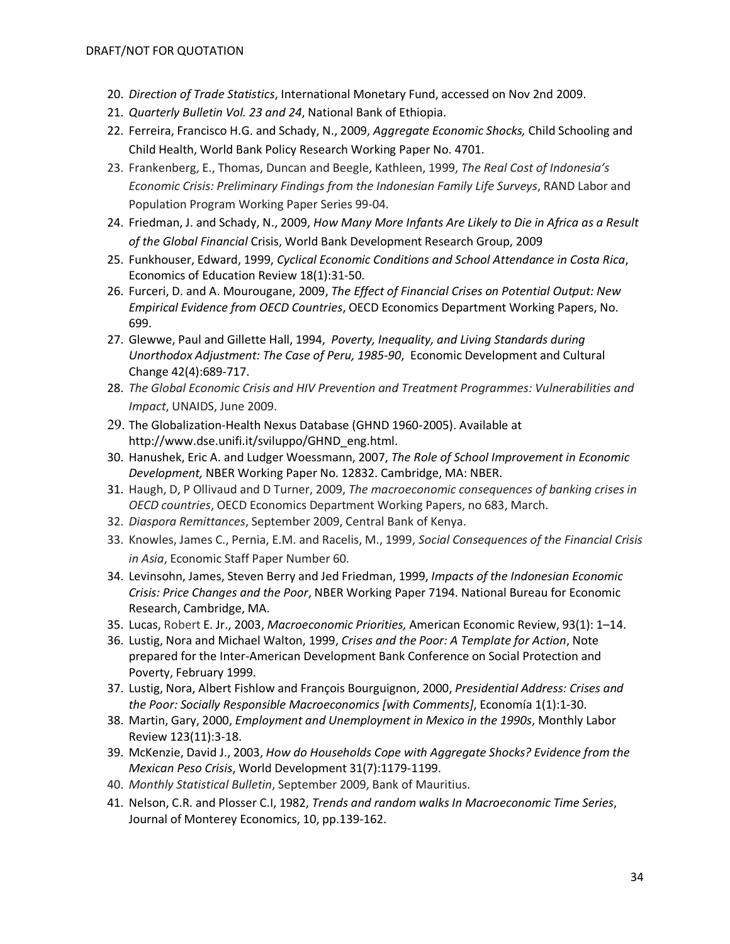- 20. *Direction of Trade Statistics*, International Monetary Fund, accessed on Nov 2nd 2009.
- 21. *Quarterly Bulletin Vol. 23 and 24*, National Bank of Ethiopia.
- 22. Ferreira, Francisco H.G. and Schady, N., 2009, *Aggregate Economic Shocks,* Child Schooling and Child Health, World Bank Policy Research Working Paper No. 4701.
- 23. Frankenberg, E., Thomas, Duncan and Beegle, Kathleen, 1999, *The Real Cost of Indonesia's Economic Crisis: Preliminary Findings from the Indonesian Family Life Surveys*, RAND Labor and Population Program Working Paper Series 99-04.
- 24. Friedman, J. and Schady, N., 2009, *How Many More Infants Are Likely to Die in Africa as a Result of the Global Financial* Crisis, World Bank Development Research Group, 2009
- 25. Funkhouser, Edward, 1999, *Cyclical Economic Conditions and School Attendance in Costa Rica*, Economics of Education Review 18(1):31-50.
- 26. Furceri, D. and A. Mourougane, 2009, *The Effect of Financial Crises on Potential Output: New Empirical Evidence from OECD Countries*, OECD Economics Department Working Papers, No. 699.
- 27. Glewwe, Paul and Gillette Hall, 1994, *Poverty, Inequality, and Living Standards during Unorthodox Adjustment: The Case of Peru, 1985-90*, Economic Development and Cultural Change 42(4):689-717.
- 28. *The Global Economic Crisis and HIV Prevention and Treatment Programmes: Vulnerabilities and Impact*, UNAIDS, June 2009.
- 29. The Globalization-Health Nexus Database (GHND 1960-2005). Available at http://www.dse.unifi.it/sviluppo/GHND\_eng.html.
- 30. Hanushek, Eric A. and Ludger Woessmann, 2007, *The Role of School Improvement in Economic Development,* NBER Working Paper No. 12832. Cambridge, MA: NBER.
- 31. Haugh, D, P Ollivaud and D Turner, 2009, *The macroeconomic consequences of banking crises in OECD countries*, OECD Economics Department Working Papers, no 683, March.
- 32. *Diaspora Remittances*, September 2009, Central Bank of Kenya.
- 33. Knowles, James C., Pernia, E.M. and Racelis, M., 1999, *Social Consequences of the Financial Crisis in Asia*, Economic Staff Paper Number 60.
- 34. Levinsohn, James, Steven Berry and Jed Friedman, 1999, *Impacts of the Indonesian Economic Crisis: Price Changes and the Poor*, NBER Working Paper 7194. National Bureau for Economic Research, Cambridge, MA.
- 35. Lucas, Robert E. Jr., 2003, *Macroeconomic Priorities,* American Economic Review, 93(1): 1–14.
- 36. Lustig, Nora and Michael Walton, 1999, *Crises and the Poor: A Template for Action*, Note prepared for the Inter-American Development Bank Conference on Social Protection and Poverty, February 1999.
- 37. Lustig, Nora, Albert Fishlow and François Bourguignon, 2000, *Presidential Address: Crises and the Poor: Socially Responsible Macroeconomics [with Comments]*, Economía 1(1):1-30.
- 38. Martin, Gary, 2000, *Employment and Unemployment in Mexico in the 1990s*, Monthly Labor Review 123(11):3-18.
- 39. McKenzie, David J., 2003, *How do Households Cope with Aggregate Shocks? Evidence from the Mexican Peso Crisis*, World Development 31(7):1179-1199.
- 40. *Monthly Statistical Bulletin*, September 2009, Bank of Mauritius.
- 41. Nelson, C.R. and Plosser C.I, 1982, *Trends and random walks In Macroeconomic Time Series*, Journal of Monterey Economics, 10, pp.139-162.